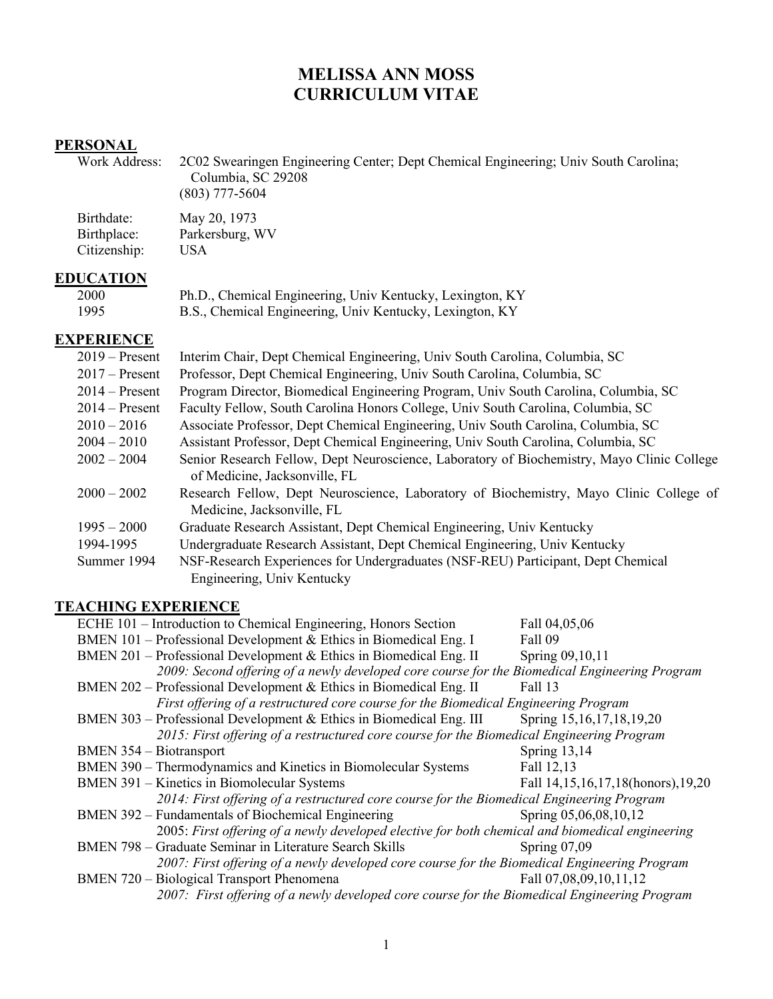# **MELISSA ANN MOSS CURRICULUM VITAE**

# **PERSONAL**<br>Work Address:

2C02 Swearingen Engineering Center; Dept Chemical Engineering; Univ South Carolina; Columbia, SC 29208 (803) 777-5604

Birthdate: May 20, 1973<br>Birthplace: Parkersburg, V Parkersburg, WV<br>USA  $Citizenship:$ 

## **EDUCATION**

| 2000 | Ph.D., Chemical Engineering, Univ Kentucky, Lexington, KY |
|------|-----------------------------------------------------------|
| 1995 | B.S., Chemical Engineering, Univ Kentucky, Lexington, KY  |

## **EXPERIENCE**

| $2019 -$ Present | Interim Chair, Dept Chemical Engineering, Univ South Carolina, Columbia, SC                |
|------------------|--------------------------------------------------------------------------------------------|
| $2017$ – Present | Professor, Dept Chemical Engineering, Univ South Carolina, Columbia, SC                    |
| $2014 -$ Present | Program Director, Biomedical Engineering Program, Univ South Carolina, Columbia, SC        |
| $2014 -$ Present | Faculty Fellow, South Carolina Honors College, Univ South Carolina, Columbia, SC           |
| $2010 - 2016$    | Associate Professor, Dept Chemical Engineering, Univ South Carolina, Columbia, SC          |
| $2004 - 2010$    | Assistant Professor, Dept Chemical Engineering, Univ South Carolina, Columbia, SC          |
| $2002 - 2004$    | Senior Research Fellow, Dept Neuroscience, Laboratory of Biochemistry, Mayo Clinic College |
|                  | of Medicine, Jacksonville, FL                                                              |
| $2000 - 2002$    | Research Fellow, Dept Neuroscience, Laboratory of Biochemistry, Mayo Clinic College of     |
|                  | Medicine, Jacksonville, FL                                                                 |
| $1995 - 2000$    | Graduate Research Assistant, Dept Chemical Engineering, Univ Kentucky                      |
| 1994-1995        | Undergraduate Research Assistant, Dept Chemical Engineering, Univ Kentucky                 |
| Summer 1994      | NSF-Research Experiences for Undergraduates (NSF-REU) Participant, Dept Chemical           |
|                  | Engineering, Univ Kentucky                                                                 |

## **TEACHING EXPERIENCE**

| ECHE 101 – Introduction to Chemical Engineering, Honors Section                                 | Fall 04,05,06                     |
|-------------------------------------------------------------------------------------------------|-----------------------------------|
| BMEN $101$ – Professional Development & Ethics in Biomedical Eng. I                             | Fall 09                           |
| BMEN 201 – Professional Development & Ethics in Biomedical Eng. II                              | Spring 09,10,11                   |
| 2009: Second offering of a newly developed core course for the Biomedical Engineering Program   |                                   |
| BMEN 202 – Professional Development & Ethics in Biomedical Eng. II                              | Fall 13                           |
| First offering of a restructured core course for the Biomedical Engineering Program             |                                   |
| BMEN 303 – Professional Development & Ethics in Biomedical Eng. III                             | Spring 15, 16, 17, 18, 19, 20     |
| 2015: First offering of a restructured core course for the Biomedical Engineering Program       |                                   |
| <b>BMEN 354 – Biotransport</b>                                                                  | Spring 13,14                      |
| BMEN 390 – Thermodynamics and Kinetics in Biomolecular Systems                                  | Fall 12,13                        |
| BMEN 391 – Kinetics in Biomolecular Systems                                                     | Fall 14,15,16,17,18(honors),19,20 |
| 2014: First offering of a restructured core course for the Biomedical Engineering Program       |                                   |
| BMEN 392 – Fundamentals of Biochemical Engineering                                              | Spring 05,06,08,10,12             |
| 2005: First offering of a newly developed elective for both chemical and biomedical engineering |                                   |
| BMEN 798 - Graduate Seminar in Literature Search Skills                                         | Spring $07,09$                    |
| 2007: First offering of a newly developed core course for the Biomedical Engineering Program    |                                   |
| BMEN 720 - Biological Transport Phenomena                                                       | Fall 07,08,09,10,11,12            |
| 2007: First offering of a newly developed core course for the Biomedical Engineering Program    |                                   |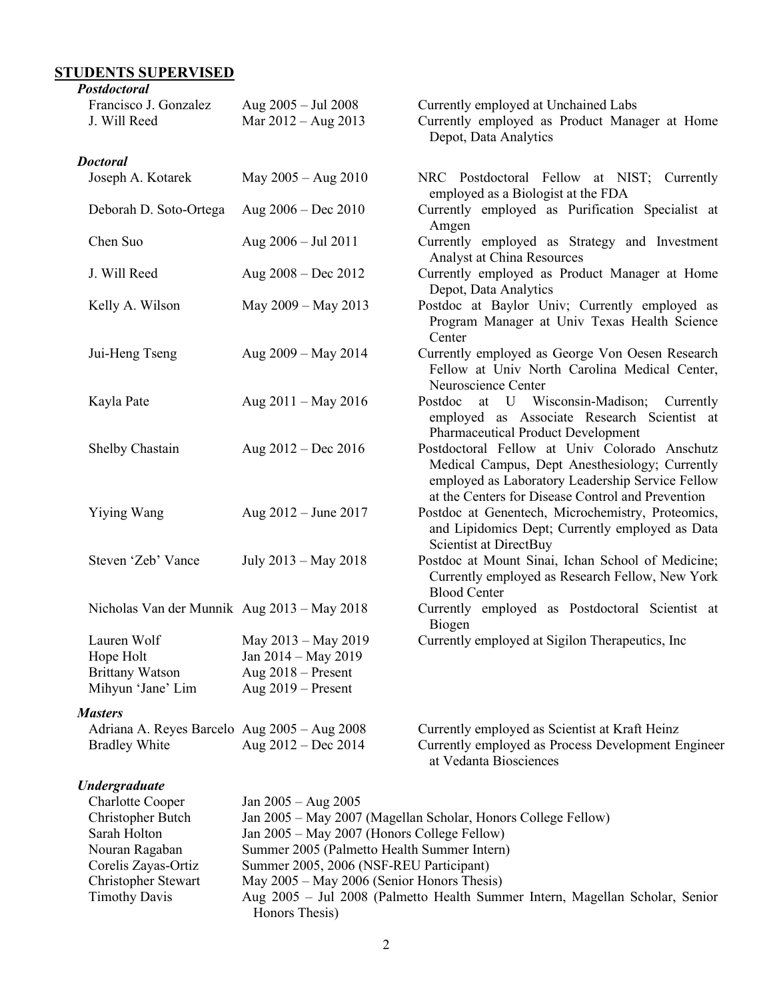#### **STUDENTS SUPERVISED**

*Postdoctoral*

| 1 osuwciorui<br>Francisco J. Gonzalez<br>J. Will Reed                   | Aug $2005 -$ Jul 2008<br>Mar 2012 - Aug 2013                                               | Currently employed at Unchained Labs<br>Currently employed as Product Manager at Home<br>Depot, Data Analytics                                                                                           |
|-------------------------------------------------------------------------|--------------------------------------------------------------------------------------------|----------------------------------------------------------------------------------------------------------------------------------------------------------------------------------------------------------|
| <b>Doctoral</b>                                                         |                                                                                            |                                                                                                                                                                                                          |
| Joseph A. Kotarek                                                       | May $2005 - Aug 2010$                                                                      | NRC Postdoctoral Fellow at NIST; Currently<br>employed as a Biologist at the FDA                                                                                                                         |
| Deborah D. Soto-Ortega                                                  | Aug $2006 - Dec 2010$                                                                      | Currently employed as Purification Specialist at<br>Amgen                                                                                                                                                |
| Chen Suo                                                                | Aug $2006 -$ Jul 2011                                                                      | Currently employed as Strategy and Investment<br>Analyst at China Resources                                                                                                                              |
| J. Will Reed                                                            | Aug $2008 - Dec 2012$                                                                      | Currently employed as Product Manager at Home<br>Depot, Data Analytics                                                                                                                                   |
| Kelly A. Wilson                                                         | May 2009 - May 2013                                                                        | Postdoc at Baylor Univ; Currently employed as<br>Program Manager at Univ Texas Health Science<br>Center                                                                                                  |
| Jui-Heng Tseng                                                          | Aug 2009 - May 2014                                                                        | Currently employed as George Von Oesen Research<br>Fellow at Univ North Carolina Medical Center,<br>Neuroscience Center                                                                                  |
| Kayla Pate                                                              | Aug $2011 -$ May 2016                                                                      | Postdoc at U Wisconsin-Madison; Currently<br>employed as Associate Research Scientist at<br><b>Pharmaceutical Product Development</b>                                                                    |
| Shelby Chastain                                                         | Aug $2012 - Dec 2016$                                                                      | Postdoctoral Fellow at Univ Colorado Anschutz<br>Medical Campus, Dept Anesthesiology; Currently<br>employed as Laboratory Leadership Service Fellow<br>at the Centers for Disease Control and Prevention |
| Yiying Wang                                                             | Aug 2012 – June 2017                                                                       | Postdoc at Genentech, Microchemistry, Proteomics,<br>and Lipidomics Dept; Currently employed as Data<br>Scientist at DirectBuy                                                                           |
| Steven 'Zeb' Vance                                                      | July 2013 – May 2018                                                                       | Postdoc at Mount Sinai, Ichan School of Medicine;<br>Currently employed as Research Fellow, New York<br><b>Blood Center</b>                                                                              |
| Nicholas Van der Munnik Aug 2013 - May 2018                             |                                                                                            | Currently employed as Postdoctoral Scientist at<br>Biogen                                                                                                                                                |
| Lauren Wolf<br>Hope Holt<br><b>Brittany Watson</b><br>Mihyun 'Jane' Lim | May 2013 - May 2019<br>Jan 2014 – May 2019<br>Aug $2018$ – Present<br>Aug $2019$ – Present | Currently employed at Sigilon Therapeutics, Inc.                                                                                                                                                         |
| <b>Masters</b>                                                          |                                                                                            |                                                                                                                                                                                                          |
| Adriana A. Reyes Barcelo Aug 2005 - Aug 2008<br><b>Bradley White</b>    | Aug $2012 - Dec 2014$                                                                      | Currently employed as Scientist at Kraft Heinz<br>Currently employed as Process Development Engineer<br>at Vedanta Biosciences                                                                           |
| <b>Undergraduate</b>                                                    |                                                                                            |                                                                                                                                                                                                          |
| <b>Charlotte Cooper</b>                                                 | Jan $2005 - Aug\ 2005$                                                                     |                                                                                                                                                                                                          |
| Christopher Butch                                                       |                                                                                            | Jan 2005 - May 2007 (Magellan Scholar, Honors College Fellow)                                                                                                                                            |
| Sarah Holton                                                            | Jan 2005 - May 2007 (Honors College Fellow)                                                |                                                                                                                                                                                                          |
| Nouran Ragaban                                                          | Summer 2005 (Palmetto Health Summer Intern)                                                |                                                                                                                                                                                                          |
| Corelis Zayas-Ortiz                                                     | Summer 2005, 2006 (NSF-REU Participant)                                                    |                                                                                                                                                                                                          |
| Christopher Stewart                                                     | May 2005 – May 2006 (Senior Honors Thesis)                                                 |                                                                                                                                                                                                          |
| <b>Timothy Davis</b>                                                    | Honors Thesis)                                                                             | Aug 2005 - Jul 2008 (Palmetto Health Summer Intern, Magellan Scholar, Senior                                                                                                                             |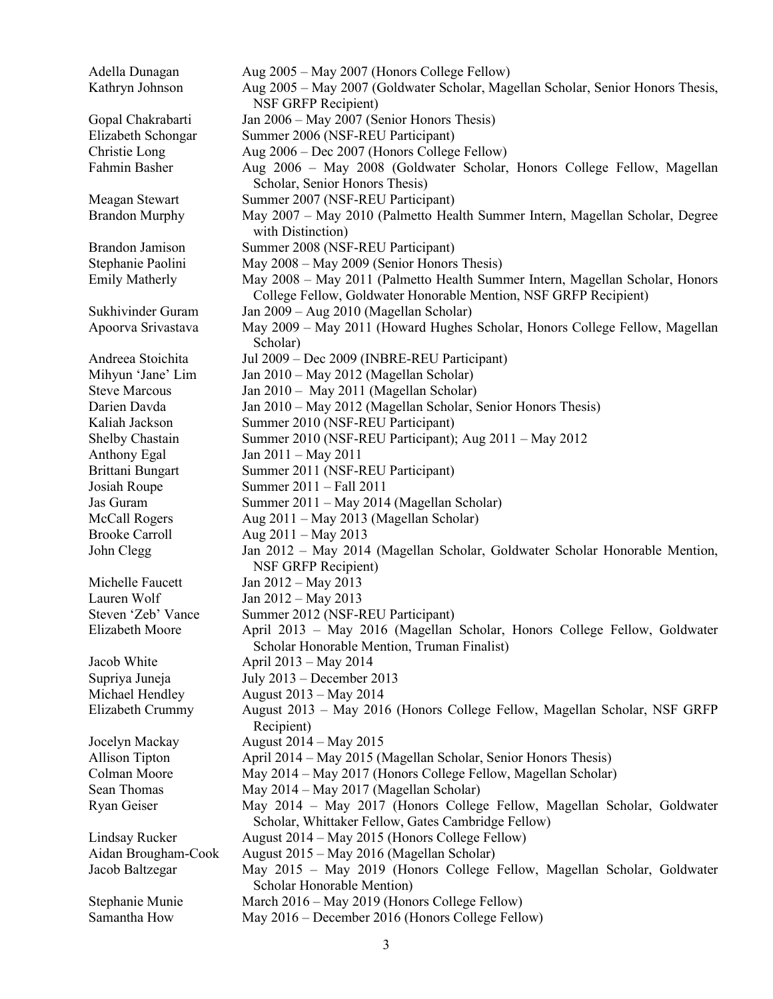Adella Dunagan Aug 2005 – May 2007 (Honors College Fellow) Kathryn Johnson Aug 2005 – May 2007 (Goldwater Scholar, Magellan Scholar, Senior Honors Thesis, NSF GRFP Recipient) Gopal Chakrabarti Jan 2006 – May 2007 (Senior Honors Thesis) Elizabeth Schongar Summer 2006 (NSF-REU Participant) Christie Long Aug 2006 – Dec 2007 (Honors College Fellow) Fahmin Basher Aug 2006 – May 2008 (Goldwater Scholar, Honors College Fellow, Magellan Scholar, Senior Honors Thesis) Meagan Stewart Summer 2007 (NSF-REU Participant) Brandon Murphy May 2007 - May 2010 (Palmetto Health Summer Intern, Magellan Scholar, Degree with Distinction) Brandon Jamison Summer 2008 (NSF-REU Participant) Stephanie Paolini May 2008 – May 2009 (Senior Honors Thesis) Emily Matherly May 2008 – May 2011 (Palmetto Health Summer Intern, Magellan Scholar, Honors College Fellow, Goldwater Honorable Mention, NSF GRFP Recipient) Sukhivinder Guram Jan 2009 – Aug 2010 (Magellan Scholar) Apoorva Srivastava May 2009 – May 2011 (Howard Hughes Scholar, Honors College Fellow, Magellan Scholar) Andreea Stoichita Jul 2009 – Dec 2009 (INBRE-REU Participant) Mihyun 'Jane' Lim Jan 2010 – May 2012 (Magellan Scholar) Steve Marcous Jan 2010 – May 2011 (Magellan Scholar) Darien Davda Jan 2010 – May 2012 (Magellan Scholar, Senior Honors Thesis) Kaliah Jackson Summer 2010 (NSF-REU Participant) Shelby Chastain Summer 2010 (NSF-REU Participant); Aug 2011 – May 2012 Anthony Egal Jan 2011 – May 2011 Brittani Bungart Summer 2011 (NSF-REU Participant) Josiah Roupe Summer 2011 – Fall 2011 Jas Guram Summer 2011 – May 2014 (Magellan Scholar) McCall Rogers Aug 2011 – May 2013 (Magellan Scholar) Brooke Carroll Aug 2011 – May 2013 John Clegg Jan 2012 – May 2014 (Magellan Scholar, Goldwater Scholar Honorable Mention, NSF GRFP Recipient) Michelle Faucett Jan 2012 – May 2013 Lauren Wolf  $Jan 2012 - May 2013$ Steven 'Zeb' Vance Summer 2012 (NSF-REU Participant) Elizabeth Moore April 2013 – May 2016 (Magellan Scholar, Honors College Fellow, Goldwater Scholar Honorable Mention, Truman Finalist) Jacob White April 2013 – May 2014 Supriya Juneja July 2013 – December 2013 Michael Hendley August 2013 – May 2014 Elizabeth Crummy August 2013 – May 2016 (Honors College Fellow, Magellan Scholar, NSF GRFP Recipient) Jocelyn Mackay August 2014 – May 2015 Allison Tipton April 2014 – May 2015 (Magellan Scholar, Senior Honors Thesis) Colman Moore May 2014 – May 2017 (Honors College Fellow, Magellan Scholar) Sean Thomas May 2014 – May 2017 (Magellan Scholar) Ryan Geiser May 2014 – May 2017 (Honors College Fellow, Magellan Scholar, Goldwater Scholar, Whittaker Fellow, Gates Cambridge Fellow) Lindsay Rucker August 2014 – May 2015 (Honors College Fellow) Aidan Brougham-Cook August 2015 – May 2016 (Magellan Scholar) Jacob Baltzegar May 2015 – May 2019 (Honors College Fellow, Magellan Scholar, Goldwater Scholar Honorable Mention) Stephanie Munie March 2016 – May 2019 (Honors College Fellow) Samantha How May 2016 – December 2016 (Honors College Fellow)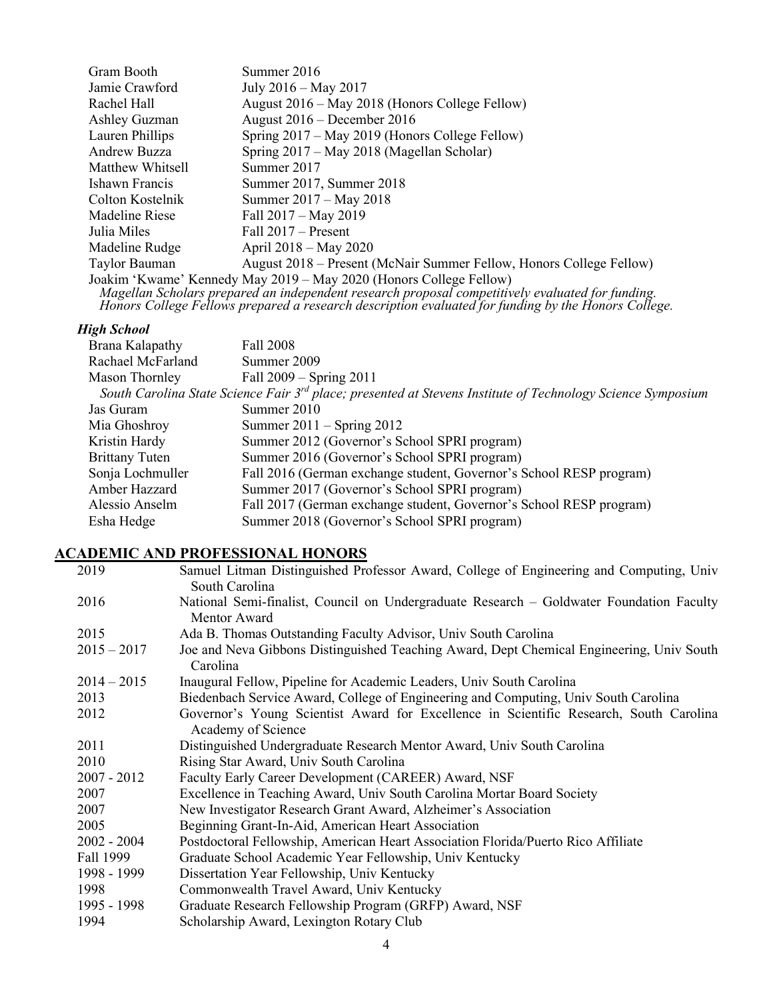| Gram Booth       | Summer 2016                                                         |
|------------------|---------------------------------------------------------------------|
| Jamie Crawford   | July 2016 – May 2017                                                |
| Rachel Hall      | August 2016 – May 2018 (Honors College Fellow)                      |
| Ashley Guzman    | August $2016$ – December 2016                                       |
| Lauren Phillips  | Spring 2017 – May 2019 (Honors College Fellow)                      |
| Andrew Buzza     | Spring 2017 – May 2018 (Magellan Scholar)                           |
| Matthew Whitsell | Summer 2017                                                         |
| Ishawn Francis   | Summer 2017, Summer 2018                                            |
| Colton Kostelnik | Summer 2017 – May 2018                                              |
| Madeline Riese   | Fall $2017 - May 2019$                                              |
| Julia Miles      | Fall $2017 -$ Present                                               |
| Madeline Rudge   | April $2018 -$ May 2020                                             |
| Taylor Bauman    | August 2018 – Present (McNair Summer Fellow, Honors College Fellow) |
|                  | Joakim 'Kwame' Kennedy May 2019 - May 2020 (Honors College Fellow)  |

Magellan Scholars prepared an independent research proposal competitively evaluated for funding.<br>Honors College Fellows prepared a research description evaluated for funding by the Honors College.

## *High School*

| Brana Kalapathy                                                                                                         | Fall 2008                                                           |  |
|-------------------------------------------------------------------------------------------------------------------------|---------------------------------------------------------------------|--|
| Rachael McFarland                                                                                                       | Summer 2009                                                         |  |
| Mason Thornley                                                                                                          | Fall $2009 -$ Spring $2011$                                         |  |
| South Carolina State Science Fair 3 <sup>rd</sup> place; presented at Stevens Institute of Technology Science Symposium |                                                                     |  |
| Jas Guram                                                                                                               | Summer 2010                                                         |  |
| Mia Ghoshroy                                                                                                            | Summer $2011 -$ Spring $2012$                                       |  |
| Kristin Hardy                                                                                                           | Summer 2012 (Governor's School SPRI program)                        |  |
| <b>Brittany Tuten</b>                                                                                                   | Summer 2016 (Governor's School SPRI program)                        |  |
| Sonja Lochmuller                                                                                                        | Fall 2016 (German exchange student, Governor's School RESP program) |  |
| Amber Hazzard                                                                                                           | Summer 2017 (Governor's School SPRI program)                        |  |
| Alessio Anselm                                                                                                          | Fall 2017 (German exchange student, Governor's School RESP program) |  |
| Esha Hedge                                                                                                              | Summer 2018 (Governor's School SPRI program)                        |  |

## **ACADEMIC AND PROFESSIONAL HONORS**

| 2019          | Samuel Litman Distinguished Professor Award, College of Engineering and Computing, Univ<br>South Carolina    |
|---------------|--------------------------------------------------------------------------------------------------------------|
| 2016          | National Semi-finalist, Council on Undergraduate Research – Goldwater Foundation Faculty<br>Mentor Award     |
| 2015          | Ada B. Thomas Outstanding Faculty Advisor, Univ South Carolina                                               |
| $2015 - 2017$ | Joe and Neva Gibbons Distinguished Teaching Award, Dept Chemical Engineering, Univ South<br>Carolina         |
| $2014 - 2015$ | Inaugural Fellow, Pipeline for Academic Leaders, Univ South Carolina                                         |
| 2013          | Biedenbach Service Award, College of Engineering and Computing, Univ South Carolina                          |
| 2012          | Governor's Young Scientist Award for Excellence in Scientific Research, South Carolina<br>Academy of Science |
| 2011          | Distinguished Undergraduate Research Mentor Award, Univ South Carolina                                       |
| 2010          | Rising Star Award, Univ South Carolina                                                                       |
| $2007 - 2012$ | Faculty Early Career Development (CAREER) Award, NSF                                                         |
| 2007          | Excellence in Teaching Award, Univ South Carolina Mortar Board Society                                       |
| 2007          | New Investigator Research Grant Award, Alzheimer's Association                                               |
| 2005          | Beginning Grant-In-Aid, American Heart Association                                                           |
| $2002 - 2004$ | Postdoctoral Fellowship, American Heart Association Florida/Puerto Rico Affiliate                            |
| Fall 1999     | Graduate School Academic Year Fellowship, Univ Kentucky                                                      |
| 1998 - 1999   | Dissertation Year Fellowship, Univ Kentucky                                                                  |
| 1998          | Commonwealth Travel Award, Univ Kentucky                                                                     |
| 1995 - 1998   | Graduate Research Fellowship Program (GRFP) Award, NSF                                                       |
| 1994          | Scholarship Award, Lexington Rotary Club                                                                     |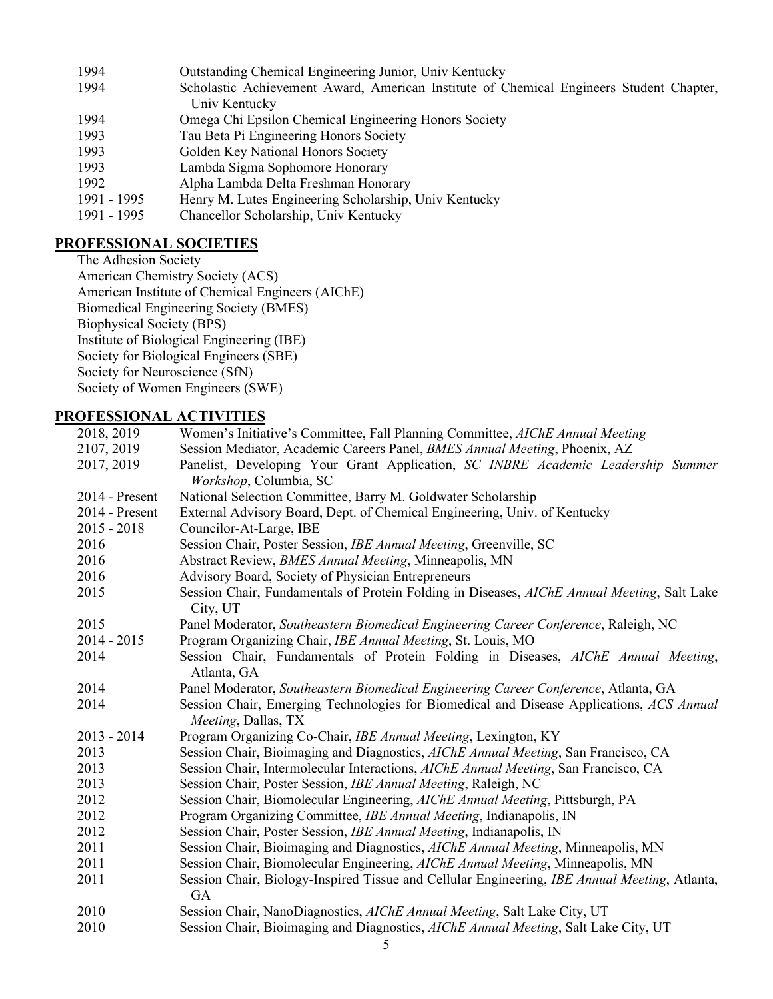| 1994        | Outstanding Chemical Engineering Junior, Univ Kentucky                                  |
|-------------|-----------------------------------------------------------------------------------------|
| 1994        | Scholastic Achievement Award, American Institute of Chemical Engineers Student Chapter, |
|             | Univ Kentucky                                                                           |
| 1994        | Omega Chi Epsilon Chemical Engineering Honors Society                                   |
| 1993        | Tau Beta Pi Engineering Honors Society                                                  |
| 1993        | Golden Key National Honors Society                                                      |
| 1993        | Lambda Sigma Sophomore Honorary                                                         |
| 1992        | Alpha Lambda Delta Freshman Honorary                                                    |
| 1991 - 1995 | Henry M. Lutes Engineering Scholarship, Univ Kentucky                                   |
| 1991 - 1995 | Chancellor Scholarship, Univ Kentucky                                                   |
|             |                                                                                         |

## **PROFESSIONAL SOCIETIES**

The Adhesion Society American Chemistry Society (ACS) American Institute of Chemical Engineers (AIChE) Biomedical Engineering Society (BMES) Biophysical Society (BPS) Institute of Biological Engineering (IBE) Society for Biological Engineers (SBE) Society for Neuroscience (SfN) Society of Women Engineers (SWE)

# **PROFESSIONAL ACTIVITIES**

| 2018, 2019     | Women's Initiative's Committee, Fall Planning Committee, AIChE Annual Meeting                                   |
|----------------|-----------------------------------------------------------------------------------------------------------------|
| 2107, 2019     | Session Mediator, Academic Careers Panel, BMES Annual Meeting, Phoenix, AZ                                      |
| 2017, 2019     | Panelist, Developing Your Grant Application, SC INBRE Academic Leadership Summer                                |
|                | Workshop, Columbia, SC                                                                                          |
| 2014 - Present | National Selection Committee, Barry M. Goldwater Scholarship                                                    |
| 2014 - Present | External Advisory Board, Dept. of Chemical Engineering, Univ. of Kentucky                                       |
| $2015 - 2018$  | Councilor-At-Large, IBE                                                                                         |
| 2016           | Session Chair, Poster Session, IBE Annual Meeting, Greenville, SC                                               |
| 2016           | Abstract Review, BMES Annual Meeting, Minneapolis, MN                                                           |
| 2016           | Advisory Board, Society of Physician Entrepreneurs                                                              |
| 2015           | Session Chair, Fundamentals of Protein Folding in Diseases, AIChE Annual Meeting, Salt Lake<br>City, UT         |
| 2015           | Panel Moderator, Southeastern Biomedical Engineering Career Conference, Raleigh, NC                             |
| $2014 - 2015$  | Program Organizing Chair, IBE Annual Meeting, St. Louis, MO                                                     |
| 2014           | Session Chair, Fundamentals of Protein Folding in Diseases, AIChE Annual Meeting,<br>Atlanta, GA                |
| 2014           | Panel Moderator, Southeastern Biomedical Engineering Career Conference, Atlanta, GA                             |
| 2014           | Session Chair, Emerging Technologies for Biomedical and Disease Applications, ACS Annual<br>Meeting, Dallas, TX |
| $2013 - 2014$  | Program Organizing Co-Chair, IBE Annual Meeting, Lexington, KY                                                  |
| 2013           | Session Chair, Bioimaging and Diagnostics, AIChE Annual Meeting, San Francisco, CA                              |
| 2013           | Session Chair, Intermolecular Interactions, AIChE Annual Meeting, San Francisco, CA                             |
| 2013           | Session Chair, Poster Session, IBE Annual Meeting, Raleigh, NC                                                  |
| 2012           | Session Chair, Biomolecular Engineering, AIChE Annual Meeting, Pittsburgh, PA                                   |
| 2012           | Program Organizing Committee, IBE Annual Meeting, Indianapolis, IN                                              |
| 2012           | Session Chair, Poster Session, IBE Annual Meeting, Indianapolis, IN                                             |
| 2011           | Session Chair, Bioimaging and Diagnostics, AIChE Annual Meeting, Minneapolis, MN                                |
| 2011           | Session Chair, Biomolecular Engineering, AIChE Annual Meeting, Minneapolis, MN                                  |
| 2011           | Session Chair, Biology-Inspired Tissue and Cellular Engineering, IBE Annual Meeting, Atlanta,<br>GA             |
| 2010           | Session Chair, NanoDiagnostics, AIChE Annual Meeting, Salt Lake City, UT                                        |
| 2010           | Session Chair, Bioimaging and Diagnostics, AIChE Annual Meeting, Salt Lake City, UT                             |
|                | 5                                                                                                               |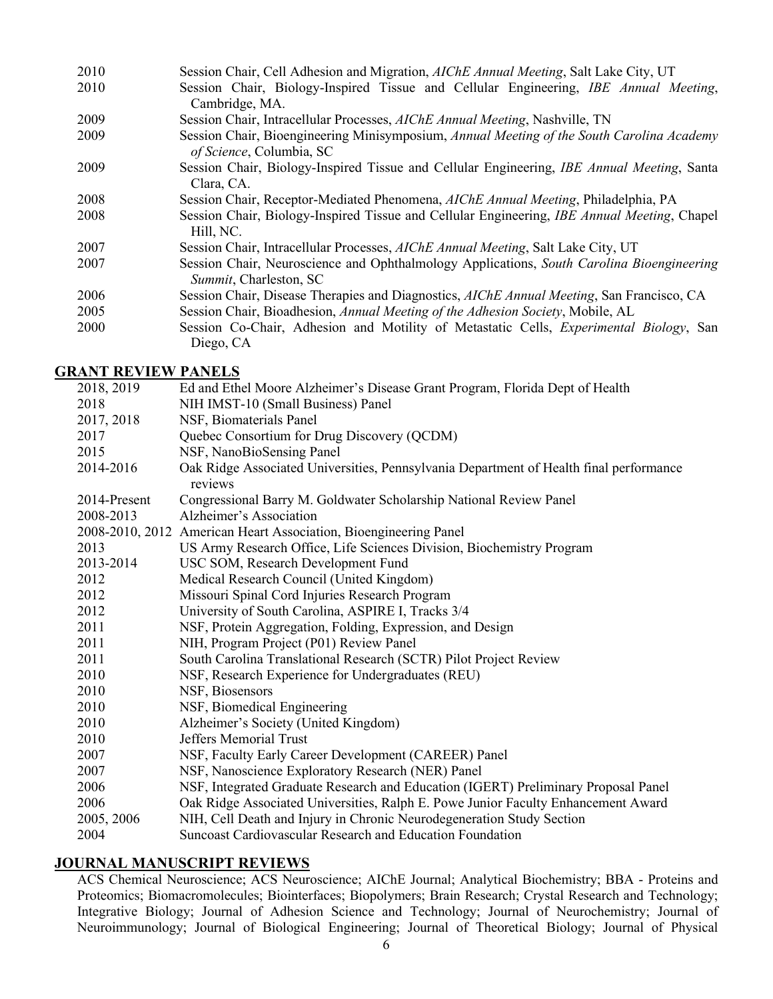| 2010 | Session Chair, Cell Adhesion and Migration, <i>AIChE Annual Meeting</i> , Salt Lake City, UT                          |
|------|-----------------------------------------------------------------------------------------------------------------------|
| 2010 | Session Chair, Biology-Inspired Tissue and Cellular Engineering, IBE Annual Meeting,                                  |
|      | Cambridge, MA.                                                                                                        |
| 2009 | Session Chair, Intracellular Processes, AIChE Annual Meeting, Nashville, TN                                           |
| 2009 | Session Chair, Bioengineering Minisymposium, Annual Meeting of the South Carolina Academy<br>of Science, Columbia, SC |
| 2009 | Session Chair, Biology-Inspired Tissue and Cellular Engineering, IBE Annual Meeting, Santa<br>Clara, CA.              |
| 2008 | Session Chair, Receptor-Mediated Phenomena, AIChE Annual Meeting, Philadelphia, PA                                    |
| 2008 | Session Chair, Biology-Inspired Tissue and Cellular Engineering, IBE Annual Meeting, Chapel<br>Hill, NC.              |
| 2007 | Session Chair, Intracellular Processes, AIChE Annual Meeting, Salt Lake City, UT                                      |
| 2007 | Session Chair, Neuroscience and Ophthalmology Applications, South Carolina Bioengineering<br>Summit, Charleston, SC   |
| 2006 | Session Chair, Disease Therapies and Diagnostics, AIChE Annual Meeting, San Francisco, CA                             |
| 2005 | Session Chair, Bioadhesion, Annual Meeting of the Adhesion Society, Mobile, AL                                        |
| 2000 | Session Co-Chair, Adhesion and Motility of Metastatic Cells, <i>Experimental Biology</i> , San<br>Diego, CA           |

#### **GRANT REVIEW PANELS**

| 2018, 2019   | Ed and Ethel Moore Alzheimer's Disease Grant Program, Florida Dept of Health                      |
|--------------|---------------------------------------------------------------------------------------------------|
| 2018         | NIH IMST-10 (Small Business) Panel                                                                |
| 2017, 2018   | NSF, Biomaterials Panel                                                                           |
| 2017         | Quebec Consortium for Drug Discovery (QCDM)                                                       |
| 2015         | NSF, NanoBioSensing Panel                                                                         |
| 2014-2016    | Oak Ridge Associated Universities, Pennsylvania Department of Health final performance<br>reviews |
| 2014-Present | Congressional Barry M. Goldwater Scholarship National Review Panel                                |
| 2008-2013    | Alzheimer's Association                                                                           |
|              | 2008-2010, 2012 American Heart Association, Bioengineering Panel                                  |
| 2013         | US Army Research Office, Life Sciences Division, Biochemistry Program                             |
| 2013-2014    | USC SOM, Research Development Fund                                                                |
| 2012         | Medical Research Council (United Kingdom)                                                         |
| 2012         | Missouri Spinal Cord Injuries Research Program                                                    |
| 2012         | University of South Carolina, ASPIRE I, Tracks 3/4                                                |
| 2011         | NSF, Protein Aggregation, Folding, Expression, and Design                                         |
| 2011         | NIH, Program Project (P01) Review Panel                                                           |
| 2011         | South Carolina Translational Research (SCTR) Pilot Project Review                                 |
| 2010         | NSF, Research Experience for Undergraduates (REU)                                                 |
| 2010         | NSF, Biosensors                                                                                   |
| 2010         | NSF, Biomedical Engineering                                                                       |
| 2010         | Alzheimer's Society (United Kingdom)                                                              |
| 2010         | <b>Jeffers Memorial Trust</b>                                                                     |
| 2007         | NSF, Faculty Early Career Development (CAREER) Panel                                              |
| 2007         | NSF, Nanoscience Exploratory Research (NER) Panel                                                 |
| 2006         | NSF, Integrated Graduate Research and Education (IGERT) Preliminary Proposal Panel                |
| 2006         | Oak Ridge Associated Universities, Ralph E. Powe Junior Faculty Enhancement Award                 |
| 2005, 2006   | NIH, Cell Death and Injury in Chronic Neurodegeneration Study Section                             |
| 2004         | Suncoast Cardiovascular Research and Education Foundation                                         |

## **JOURNAL MANUSCRIPT REVIEWS**

ACS Chemical Neuroscience; ACS Neuroscience; AIChE Journal; Analytical Biochemistry; BBA - Proteins and Proteomics; Biomacromolecules; Biointerfaces; Biopolymers; Brain Research; Crystal Research and Technology; Integrative Biology; Journal of Adhesion Science and Technology; Journal of Neurochemistry; Journal of Neuroimmunology; Journal of Biological Engineering; Journal of Theoretical Biology; Journal of Physical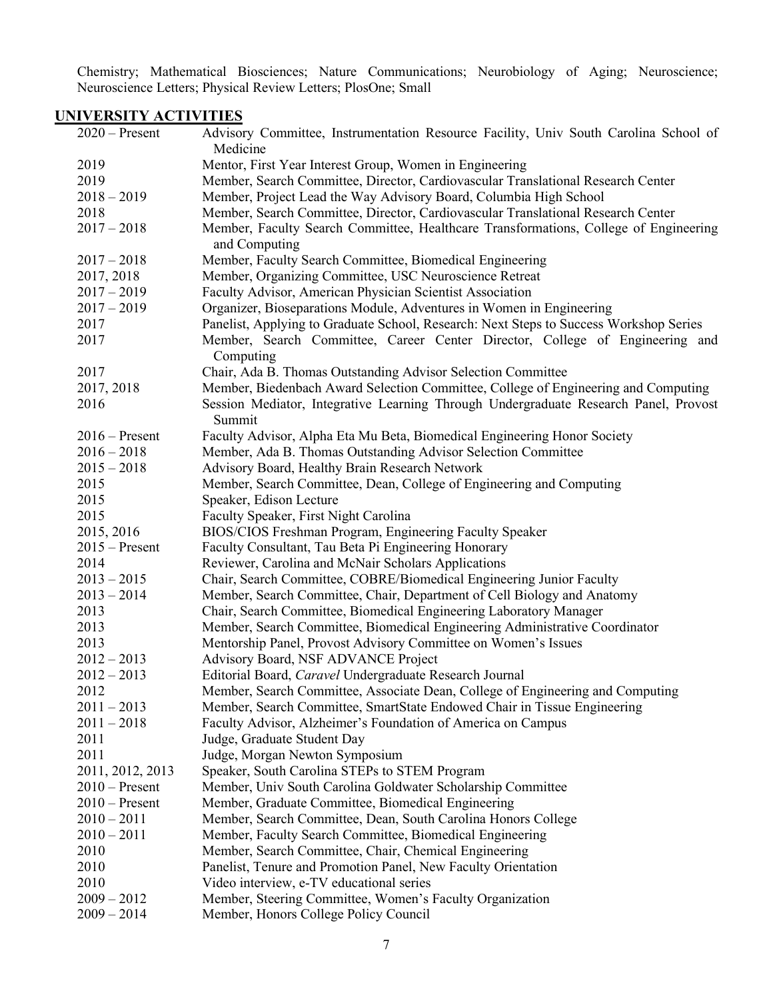Chemistry; Mathematical Biosciences; Nature Communications; Neurobiology of Aging; Neuroscience; Neuroscience Letters; Physical Review Letters; PlosOne; Small

## **UNIVERSITY ACTIVITIES**

| Advisory Committee, Instrumentation Resource Facility, Univ South Carolina School of<br>Medicine |
|--------------------------------------------------------------------------------------------------|
| Mentor, First Year Interest Group, Women in Engineering                                          |
| Member, Search Committee, Director, Cardiovascular Translational Research Center                 |
| Member, Project Lead the Way Advisory Board, Columbia High School                                |
| Member, Search Committee, Director, Cardiovascular Translational Research Center                 |
| Member, Faculty Search Committee, Healthcare Transformations, College of Engineering             |
| and Computing                                                                                    |
| Member, Faculty Search Committee, Biomedical Engineering                                         |
| Member, Organizing Committee, USC Neuroscience Retreat                                           |
| Faculty Advisor, American Physician Scientist Association                                        |
| Organizer, Bioseparations Module, Adventures in Women in Engineering                             |
| Panelist, Applying to Graduate School, Research: Next Steps to Success Workshop Series           |
| Member, Search Committee, Career Center Director, College of Engineering and                     |
| Computing                                                                                        |
| Chair, Ada B. Thomas Outstanding Advisor Selection Committee                                     |
| Member, Biedenbach Award Selection Committee, College of Engineering and Computing               |
| Session Mediator, Integrative Learning Through Undergraduate Research Panel, Provost<br>Summit   |
| Faculty Advisor, Alpha Eta Mu Beta, Biomedical Engineering Honor Society                         |
| Member, Ada B. Thomas Outstanding Advisor Selection Committee                                    |
| Advisory Board, Healthy Brain Research Network                                                   |
| Member, Search Committee, Dean, College of Engineering and Computing                             |
| Speaker, Edison Lecture                                                                          |
| Faculty Speaker, First Night Carolina                                                            |
| BIOS/CIOS Freshman Program, Engineering Faculty Speaker                                          |
| Faculty Consultant, Tau Beta Pi Engineering Honorary                                             |
| Reviewer, Carolina and McNair Scholars Applications                                              |
| Chair, Search Committee, COBRE/Biomedical Engineering Junior Faculty                             |
| Member, Search Committee, Chair, Department of Cell Biology and Anatomy                          |
| Chair, Search Committee, Biomedical Engineering Laboratory Manager                               |
| Member, Search Committee, Biomedical Engineering Administrative Coordinator                      |
| Mentorship Panel, Provost Advisory Committee on Women's Issues                                   |
| Advisory Board, NSF ADVANCE Project                                                              |
| Editorial Board, Caravel Undergraduate Research Journal                                          |
| Member, Search Committee, Associate Dean, College of Engineering and Computing                   |
| Member, Search Committee, SmartState Endowed Chair in Tissue Engineering                         |
| Faculty Advisor, Alzheimer's Foundation of America on Campus                                     |
| Judge, Graduate Student Day                                                                      |
| Judge, Morgan Newton Symposium                                                                   |
| Speaker, South Carolina STEPs to STEM Program                                                    |
| Member, Univ South Carolina Goldwater Scholarship Committee                                      |
| Member, Graduate Committee, Biomedical Engineering                                               |
| Member, Search Committee, Dean, South Carolina Honors College                                    |
| Member, Faculty Search Committee, Biomedical Engineering                                         |
| Member, Search Committee, Chair, Chemical Engineering                                            |
| Panelist, Tenure and Promotion Panel, New Faculty Orientation                                    |
| Video interview, e-TV educational series                                                         |
| Member, Steering Committee, Women's Faculty Organization                                         |
| Member, Honors College Policy Council                                                            |
|                                                                                                  |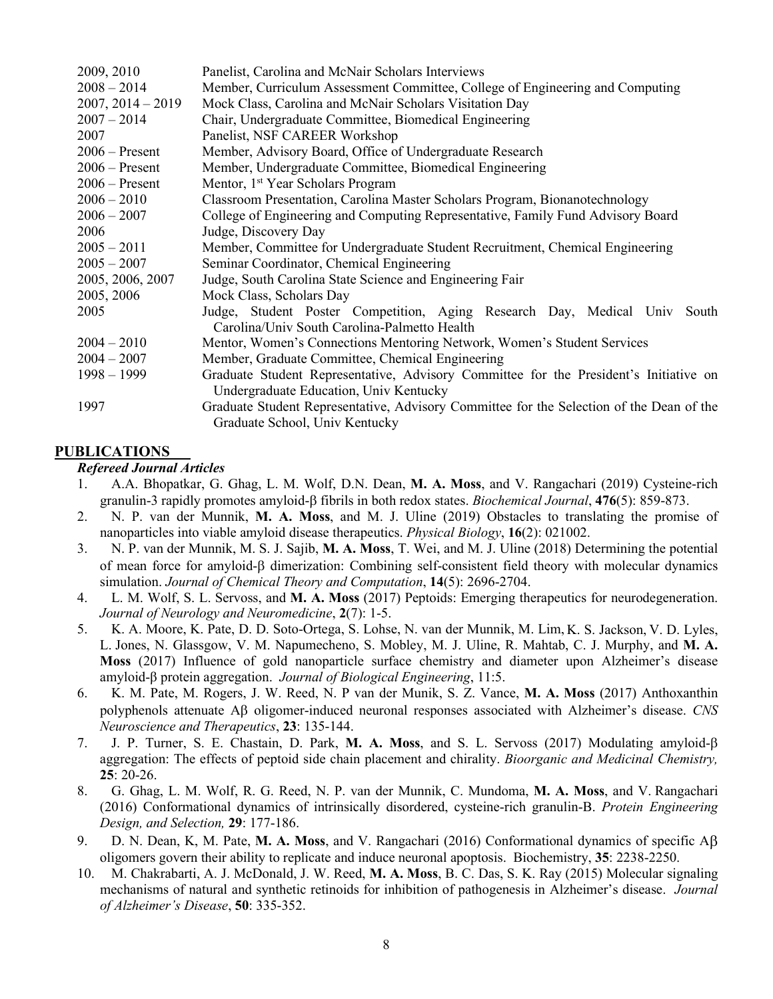| 2009, 2010          | Panelist, Carolina and McNair Scholars Interviews                                                                               |  |  |
|---------------------|---------------------------------------------------------------------------------------------------------------------------------|--|--|
| $2008 - 2014$       | Member, Curriculum Assessment Committee, College of Engineering and Computing                                                   |  |  |
| $2007, 2014 - 2019$ | Mock Class, Carolina and McNair Scholars Visitation Day                                                                         |  |  |
| $2007 - 2014$       | Chair, Undergraduate Committee, Biomedical Engineering                                                                          |  |  |
| 2007                | Panelist, NSF CAREER Workshop                                                                                                   |  |  |
| $2006$ – Present    | Member, Advisory Board, Office of Undergraduate Research                                                                        |  |  |
| $2006$ – Present    | Member, Undergraduate Committee, Biomedical Engineering                                                                         |  |  |
| $2006 -$ Present    | Mentor, 1 <sup>st</sup> Year Scholars Program                                                                                   |  |  |
| $2006 - 2010$       | Classroom Presentation, Carolina Master Scholars Program, Bionanotechnology                                                     |  |  |
| $2006 - 2007$       | College of Engineering and Computing Representative, Family Fund Advisory Board                                                 |  |  |
| 2006                | Judge, Discovery Day                                                                                                            |  |  |
| $2005 - 2011$       | Member, Committee for Undergraduate Student Recruitment, Chemical Engineering                                                   |  |  |
| $2005 - 2007$       | Seminar Coordinator, Chemical Engineering                                                                                       |  |  |
| 2005, 2006, 2007    | Judge, South Carolina State Science and Engineering Fair                                                                        |  |  |
| 2005, 2006          | Mock Class, Scholars Day                                                                                                        |  |  |
| 2005                | Judge, Student Poster Competition, Aging Research Day, Medical Univ South<br>Carolina/Univ South Carolina-Palmetto Health       |  |  |
| $2004 - 2010$       | Mentor, Women's Connections Mentoring Network, Women's Student Services                                                         |  |  |
| $2004 - 2007$       | Member, Graduate Committee, Chemical Engineering                                                                                |  |  |
| $1998 - 1999$       | Graduate Student Representative, Advisory Committee for the President's Initiative on<br>Undergraduate Education, Univ Kentucky |  |  |
| 1997                | Graduate Student Representative, Advisory Committee for the Selection of the Dean of the<br>Graduate School, Univ Kentucky      |  |  |

#### **PUBLICATIONS**

#### *Refereed Journal Articles*

- 1. A.A. Bhopatkar, G. Ghag, L. M. Wolf, D.N. Dean, **M. A. Moss**, and V. Rangachari (2019) Cysteine-rich granulin-3 rapidly promotes amyloid-β fibrils in both redox states. *Biochemical Journal*, **476**(5): 859-873.
- 2. N. P. van der Munnik, **M. A. Moss**, and M. J. Uline (2019) Obstacles to translating the promise of nanoparticles into viable amyloid disease therapeutics. *Physical Biology*, **16**(2): 021002.
- 3. N. P. van der Munnik, M. S. J. Sajib, **M. A. Moss**, T. Wei, and M. J. Uline (2018) Determining the potential of mean force for amyloid-β dimerization: Combining self-consistent field theory with molecular dynamics simulation. *Journal of Chemical Theory and Computation*, **14**(5): 2696-2704.
- 4. L. M. Wolf, S. L. Servoss, and **M. A. Moss** (2017) Peptoids: Emerging therapeutics for neurodegeneration. *Journal of Neurology and Neuromedicine*, **2**(7): 1-5.
- 5. K. A. Moore, K. Pate, D. D. Soto-Ortega, S. Lohse, N. van der Munnik, M. Lim, K. S. Jackson, V. D. Lyles, L. Jones, N. Glassgow, V. M. Napumecheno, S. Mobley, M. J. Uline, R. Mahtab, C. J. Murphy, and **M. A. Moss** (2017) Influence of gold nanoparticle surface chemistry and diameter upon Alzheimer's disease amyloid-β protein aggregation. *Journal of Biological Engineering*, 11:5.
- 6. K. M. Pate, M. Rogers, J. W. Reed, N. P van der Munik, S. Z. Vance, **M. A. Moss** (2017) Anthoxanthin polyphenols attenuate Aβ oligomer-induced neuronal responses associated with Alzheimer's disease. *CNS Neuroscience and Therapeutics*, **23**: 135-144.
- 7. J. P. Turner, S. E. Chastain, D. Park, **M. A. Moss**, and S. L. Servoss (2017) Modulating amyloid-β aggregation: The effects of peptoid side chain placement and chirality. *Bioorganic and Medicinal Chemistry,*  **25**: 20-26.
- 8. G. Ghag, L. M. Wolf, R. G. Reed, N. P. van der Munnik, C. Mundoma, **M. A. Moss**, and V. Rangachari (2016) Conformational dynamics of intrinsically disordered, cysteine-rich granulin-B. *Protein Engineering Design, and Selection,* **29**: 177-186.
- 9. D. N. Dean, K, M. Pate, **M. A. Moss**, and V. Rangachari (2016) Conformational dynamics of specific Aβ oligomers govern their ability to replicate and induce neuronal apoptosis. Biochemistry, **35**: 2238-2250.
- 10. M. Chakrabarti, A. J. McDonald, J. W. Reed, **M. A. Moss**, B. C. Das, S. K. Ray (2015) Molecular signaling mechanisms of natural and synthetic retinoids for inhibition of pathogenesis in Alzheimer's disease. *Journal of Alzheimer's Disease*, **50**: 335-352.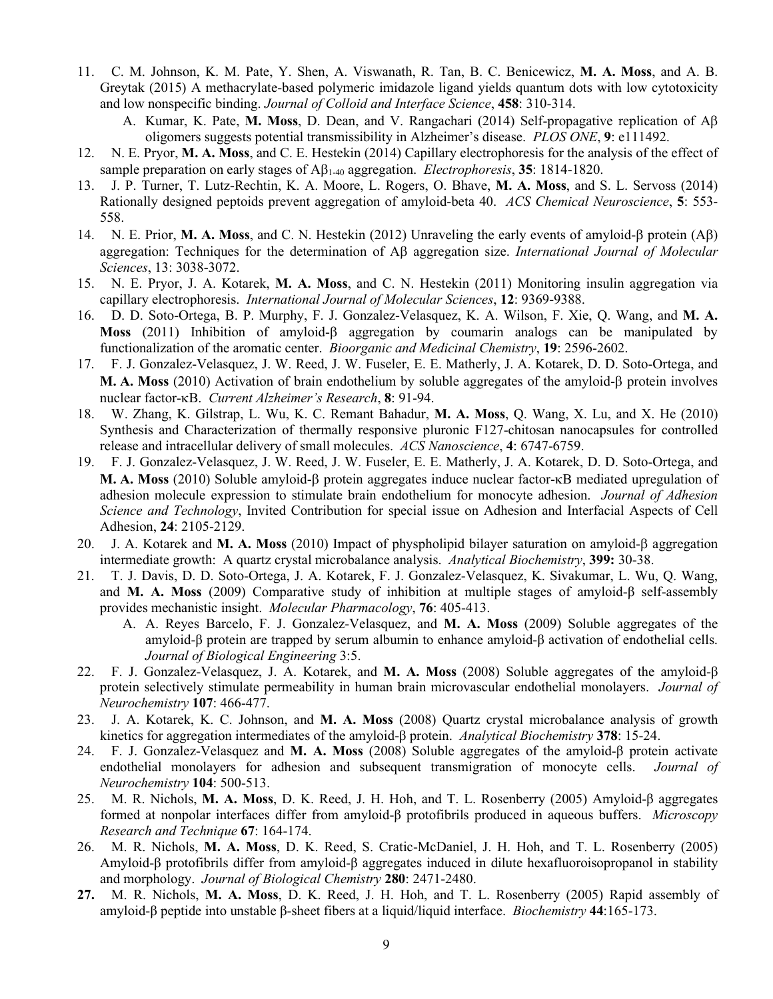- 11. C. M. Johnson, K. M. Pate, Y. Shen, A. Viswanath, R. Tan, B. C. Benicewicz, **M. A. Moss**, and A. B. Greytak (2015) A methacrylate-based polymeric imidazole ligand yields quantum dots with low cytotoxicity and low nonspecific binding. *Journal of Colloid and Interface Science*, **458**: 310-314.
	- A. Kumar, K. Pate, **M. Moss**, D. Dean, and V. Rangachari (2014) Self-propagative replication of Aβ oligomers suggests potential transmissibility in Alzheimer's disease. *PLOS ONE*, **9**: e111492.
- 12. N. E. Pryor, **M. A. Moss**, and C. E. Hestekin (2014) Capillary electrophoresis for the analysis of the effect of sample preparation on early stages of Aβ1-40 aggregation. *Electrophoresis*, **35**: 1814-1820.
- 13. J. P. Turner, T. Lutz-Rechtin, K. A. Moore, L. Rogers, O. Bhave, **M. A. Moss**, and S. L. Servoss (2014) Rationally designed peptoids prevent aggregation of amyloid-beta 40. *ACS Chemical Neuroscience*, **5**: 553- 558.
- 14. N. E. Prior, **M. A. Moss**, and C. N. Hestekin (2012) Unraveling the early events of amyloid-β protein (Aβ) aggregation: Techniques for the determination of Aβ aggregation size. *International Journal of Molecular Sciences*, 13: 3038-3072.
- 15. N. E. Pryor, J. A. Kotarek, **M. A. Moss**, and C. N. Hestekin (2011) Monitoring insulin aggregation via capillary electrophoresis. *International Journal of Molecular Sciences*, **12**: 9369-9388.
- 16. D. D. Soto-Ortega, B. P. Murphy, F. J. Gonzalez-Velasquez, K. A. Wilson, F. Xie, Q. Wang, and **M. A. Moss** (2011) Inhibition of amyloid-β aggregation by coumarin analogs can be manipulated by functionalization of the aromatic center. *Bioorganic and Medicinal Chemistry*, **19**: 2596-2602.
- 17. F. J. Gonzalez-Velasquez, J. W. Reed, J. W. Fuseler, E. E. Matherly, J. A. Kotarek, D. D. Soto-Ortega, and **M. A. Moss** (2010) Activation of brain endothelium by soluble aggregates of the amyloid-β protein involves nuclear factor-κB. *Current Alzheimer's Research*, **8**: 91-94.
- 18. W. Zhang, K. Gilstrap, L. Wu, K. C. Remant Bahadur, **M. A. Moss**, Q. Wang, X. Lu, and X. He (2010) Synthesis and Characterization of thermally responsive pluronic F127-chitosan nanocapsules for controlled release and intracellular delivery of small molecules. *ACS Nanoscience*, **4**: 6747-6759.
- 19. F. J. Gonzalez-Velasquez, J. W. Reed, J. W. Fuseler, E. E. Matherly, J. A. Kotarek, D. D. Soto-Ortega, and **M. A. Moss** (2010) Soluble amyloid-β protein aggregates induce nuclear factor-κB mediated upregulation of adhesion molecule expression to stimulate brain endothelium for monocyte adhesion. *Journal of Adhesion Science and Technology*, Invited Contribution for special issue on Adhesion and Interfacial Aspects of Cell Adhesion, **24**: 2105-2129.
- 20. J. A. Kotarek and **M. A. Moss** (2010) Impact of physpholipid bilayer saturation on amyloid-β aggregation intermediate growth: A quartz crystal microbalance analysis. *Analytical Biochemistry*, **399:** 30-38.
- 21. T. J. Davis, D. D. Soto-Ortega, J. A. Kotarek, F. J. Gonzalez-Velasquez, K. Sivakumar, L. Wu, Q. Wang, and **M. A. Moss** (2009) Comparative study of inhibition at multiple stages of amyloid-β self-assembly provides mechanistic insight. *Molecular Pharmacology*, **76**: 405-413.
	- A. A. Reyes Barcelo, F. J. Gonzalez-Velasquez, and **M. A. Moss** (2009) Soluble aggregates of the amyloid-β protein are trapped by serum albumin to enhance amyloid-β activation of endothelial cells. *Journal of Biological Engineering* 3:5.
- 22. F. J. Gonzalez-Velasquez, J. A. Kotarek, and **M. A. Moss** (2008) Soluble aggregates of the amyloid-β protein selectively stimulate permeability in human brain microvascular endothelial monolayers. *Journal of Neurochemistry* **107**: 466-477.
- 23. J. A. Kotarek, K. C. Johnson, and **M. A. Moss** (2008) Quartz crystal microbalance analysis of growth kinetics for aggregation intermediates of the amyloid-β protein. *Analytical Biochemistry* **378**: 15-24.
- 24. F. J. Gonzalez-Velasquez and **M. A. Moss** (2008) Soluble aggregates of the amyloid-β protein activate endothelial monolayers for adhesion and subsequent transmigration of monocyte cells. *Journal of Neurochemistry* **104**: 500-513.
- 25. M. R. Nichols, **M. A. Moss**, D. K. Reed, J. H. Hoh, and T. L. Rosenberry (2005) Amyloid-β aggregates formed at nonpolar interfaces differ from amyloid-β protofibrils produced in aqueous buffers. *Microscopy Research and Technique* **67**: 164-174.
- 26. M. R. Nichols, **M. A. Moss**, D. K. Reed, S. Cratic-McDaniel, J. H. Hoh, and T. L. Rosenberry (2005) Amyloid-β protofibrils differ from amyloid-β aggregates induced in dilute hexafluoroisopropanol in stability and morphology. *Journal of Biological Chemistry* **280**: 2471-2480.
- **27.** M. R. Nichols, **M. A. Moss**, D. K. Reed, J. H. Hoh, and T. L. Rosenberry (2005) Rapid assembly of amyloid-β peptide into unstable β-sheet fibers at a liquid/liquid interface. *Biochemistry* **44**:165-173.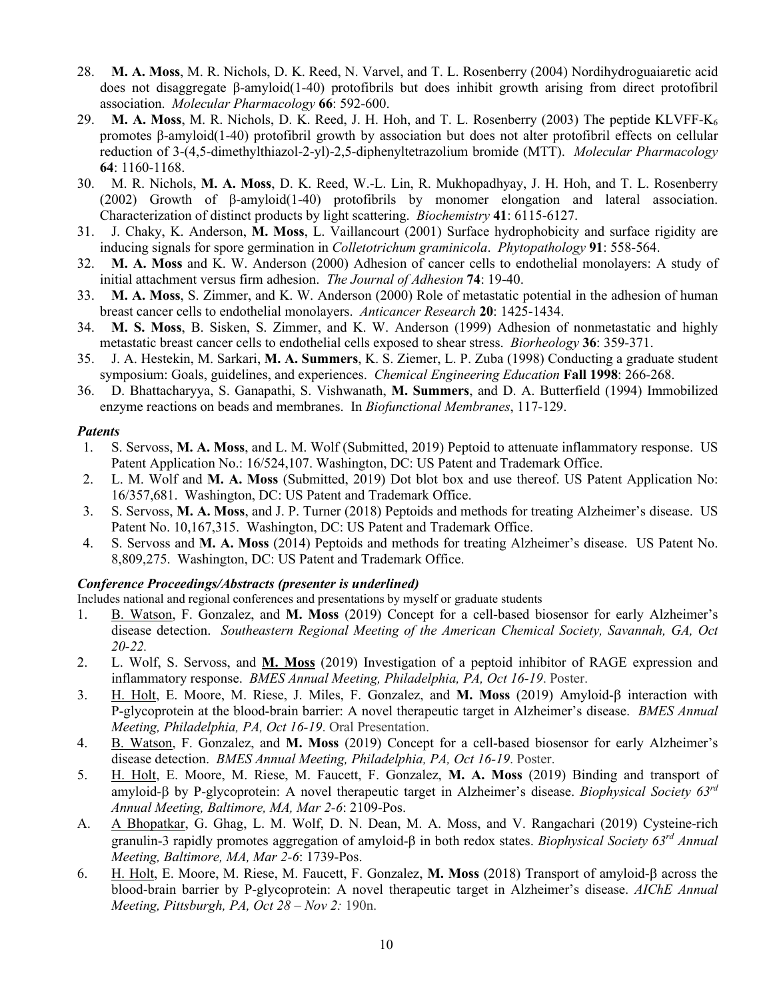- 28. **M. A. Moss**, M. R. Nichols, D. K. Reed, N. Varvel, and T. L. Rosenberry (2004) Nordihydroguaiaretic acid does not disaggregate β-amyloid(1-40) protofibrils but does inhibit growth arising from direct protofibril association. *Molecular Pharmacology* **66**: 592-600.
- 29. **M. A. Moss**, M. R. Nichols, D. K. Reed, J. H. Hoh, and T. L. Rosenberry (2003) The peptide KLVFF-K6 promotes β-amyloid(1-40) protofibril growth by association but does not alter protofibril effects on cellular reduction of 3-(4,5-dimethylthiazol-2-yl)-2,5-diphenyltetrazolium bromide (MTT). *Molecular Pharmacology* **64**: 1160-1168.
- 30. M. R. Nichols, **M. A. Moss**, D. K. Reed, W.-L. Lin, R. Mukhopadhyay, J. H. Hoh, and T. L. Rosenberry (2002) Growth of β-amyloid(1-40) protofibrils by monomer elongation and lateral association. Characterization of distinct products by light scattering. *Biochemistry* **41**: 6115-6127.
- 31. J. Chaky, K. Anderson, **M. Moss**, L. Vaillancourt (2001) Surface hydrophobicity and surface rigidity are inducing signals for spore germination in *Colletotrichum graminicola*. *Phytopathology* **91**: 558-564.
- 32. **M. A. Moss** and K. W. Anderson (2000) Adhesion of cancer cells to endothelial monolayers: A study of initial attachment versus firm adhesion. *The Journal of Adhesion* **74**: 19-40.
- 33. **M. A. Moss**, S. Zimmer, and K. W. Anderson (2000) Role of metastatic potential in the adhesion of human breast cancer cells to endothelial monolayers. *Anticancer Research* **20**: 1425-1434.
- 34. **M. S. Moss**, B. Sisken, S. Zimmer, and K. W. Anderson (1999) Adhesion of nonmetastatic and highly metastatic breast cancer cells to endothelial cells exposed to shear stress. *Biorheology* **36**: 359-371.
- 35. J. A. Hestekin, M. Sarkari, **M. A. Summers**, K. S. Ziemer, L. P. Zuba (1998) Conducting a graduate student symposium: Goals, guidelines, and experiences. *Chemical Engineering Education* **Fall 1998**: 266-268.
- 36. D. Bhattacharyya, S. Ganapathi, S. Vishwanath, **M. Summers**, and D. A. Butterfield (1994) Immobilized enzyme reactions on beads and membranes. In *Biofunctional Membranes*, 117-129.

#### *Patents*

- 1. S. Servoss, **M. A. Moss**, and L. M. Wolf (Submitted, 2019) Peptoid to attenuate inflammatory response. US Patent Application No.: 16/524,107. Washington, DC: US Patent and Trademark Office.
- 2. L. M. Wolf and **M. A. Moss** (Submitted, 2019) Dot blot box and use thereof. US Patent Application No: 16/357,681. Washington, DC: US Patent and Trademark Office.
- 3. S. Servoss, **M. A. Moss**, and J. P. Turner (2018) Peptoids and methods for treating Alzheimer's disease. US Patent No. 10,167,315. Washington, DC: US Patent and Trademark Office.
- 4. S. Servoss and **M. A. Moss** (2014) Peptoids and methods for treating Alzheimer's disease. US Patent No. 8,809,275. Washington, DC: US Patent and Trademark Office.

## *Conference Proceedings/Abstracts (presenter is underlined)*

Includes national and regional conferences and presentations by myself or graduate students

- 1. B. Watson, F. Gonzalez, and **M. Moss** (2019) Concept for a cell-based biosensor for early Alzheimer's disease detection. *Southeastern Regional Meeting of the American Chemical Society, Savannah, GA, Oct 20-22.*
- 2. L. Wolf, S. Servoss, and **M. Moss** (2019) Investigation of a peptoid inhibitor of RAGE expression and inflammatory response. *BMES Annual Meeting, Philadelphia, PA, Oct 16-19*. Poster.
- 3. H. Holt, E. Moore, M. Riese, J. Miles, F. Gonzalez, and **M. Moss** (2019) Amyloid-β interaction with P-glycoprotein at the blood-brain barrier: A novel therapeutic target in Alzheimer's disease. *BMES Annual Meeting, Philadelphia, PA, Oct 16-19*. Oral Presentation.
- 4. B. Watson, F. Gonzalez, and **M. Moss** (2019) Concept for a cell-based biosensor for early Alzheimer's disease detection. *BMES Annual Meeting, Philadelphia, PA, Oct 16-19*. Poster.
- 5. H. Holt, E. Moore, M. Riese, M. Faucett, F. Gonzalez, **M. A. Moss** (2019) Binding and transport of amyloid-β by P-glycoprotein: A novel therapeutic target in Alzheimer's disease. *Biophysical Society 63rd Annual Meeting, Baltimore, MA, Mar 2-6*: 2109-Pos.
- A. A Bhopatkar, G. Ghag, L. M. Wolf, D. N. Dean, M. A. Moss, and V. Rangachari (2019) Cysteine-rich granulin-3 rapidly promotes aggregation of amyloid-β in both redox states. *Biophysical Society 63rd Annual Meeting, Baltimore, MA, Mar 2-6*: 1739-Pos.
- 6. H. Holt, E. Moore, M. Riese, M. Faucett, F. Gonzalez, **M. Moss** (2018) Transport of amyloid-β across the blood-brain barrier by P-glycoprotein: A novel therapeutic target in Alzheimer's disease. *AIChE Annual Meeting, Pittsburgh, PA, Oct 28 – Nov 2:* 190n.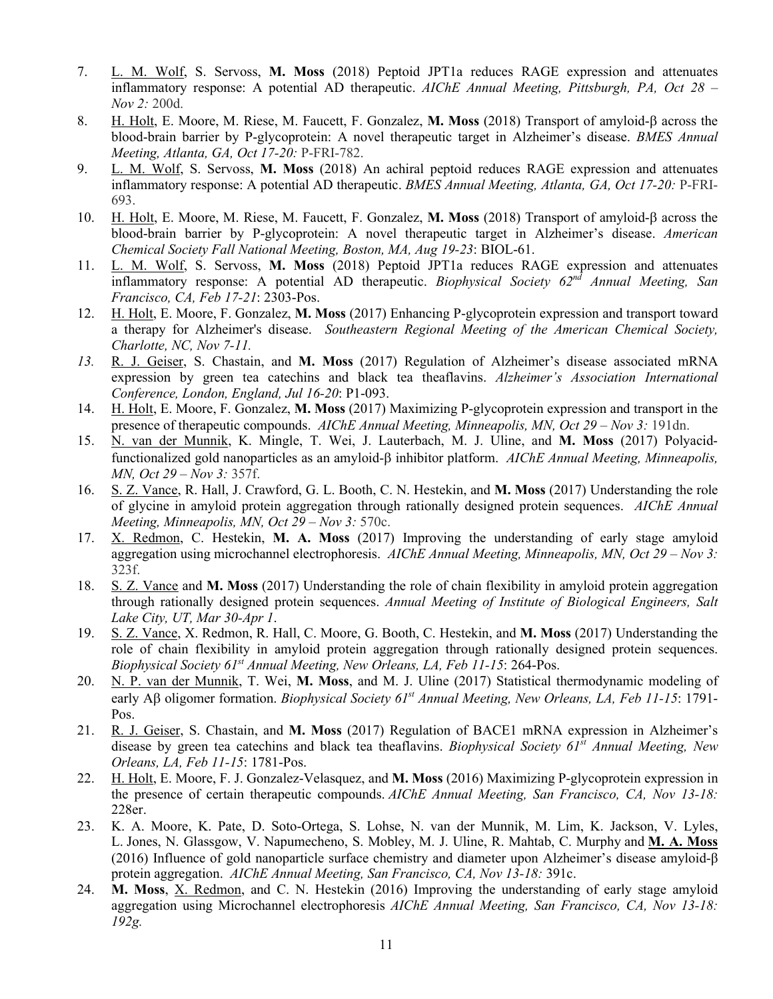- 7. L. M. Wolf, S. Servoss, **M. Moss** (2018) Peptoid JPT1a reduces RAGE expression and attenuates inflammatory response: A potential AD therapeutic. *AIChE Annual Meeting, Pittsburgh, PA, Oct 28 – Nov 2:* 200d.
- 8. H. Holt, E. Moore, M. Riese, M. Faucett, F. Gonzalez, **M. Moss** (2018) Transport of amyloid-β across the blood-brain barrier by P-glycoprotein: A novel therapeutic target in Alzheimer's disease. *BMES Annual Meeting, Atlanta, GA, Oct 17-20:* P-FRI-782.
- 9. L. M. Wolf, S. Servoss, **M. Moss** (2018) An achiral peptoid reduces RAGE expression and attenuates inflammatory response: A potential AD therapeutic. *BMES Annual Meeting, Atlanta, GA, Oct 17-20:* P-FRI-693.
- 10. H. Holt, E. Moore, M. Riese, M. Faucett, F. Gonzalez, **M. Moss** (2018) Transport of amyloid-β across the blood-brain barrier by P-glycoprotein: A novel therapeutic target in Alzheimer's disease. *American Chemical Society Fall National Meeting, Boston, MA, Aug 19-23*: BIOL-61.
- 11. L. M. Wolf, S. Servoss, **M. Moss** (2018) Peptoid JPT1a reduces RAGE expression and attenuates inflammatory response: A potential AD therapeutic. *Biophysical Society 62nd Annual Meeting, San Francisco, CA, Feb 17-21*: 2303-Pos.
- 12. H. Holt, E. Moore, F. Gonzalez, **M. Moss** (2017) Enhancing P-glycoprotein expression and transport toward a therapy for Alzheimer's disease. *Southeastern Regional Meeting of the American Chemical Society, Charlotte, NC, Nov 7-11.*
- *13.* R. J. Geiser, S. Chastain, and **M. Moss** (2017) Regulation of Alzheimer's disease associated mRNA expression by green tea catechins and black tea theaflavins. *Alzheimer's Association International Conference, London, England, Jul 16-20*: P1-093.
- 14. H. Holt, E. Moore, F. Gonzalez, **M. Moss** (2017) Maximizing P-glycoprotein expression and transport in the presence of therapeutic compounds. *AIChE Annual Meeting, Minneapolis, MN, Oct 29 – Nov 3:* 191dn.
- 15. N. van der Munnik, K. Mingle, T. Wei, J. Lauterbach, M. J. Uline, and **M. Moss** (2017) Polyacidfunctionalized gold nanoparticles as an amyloid-β inhibitor platform. *AIChE Annual Meeting, Minneapolis, MN, Oct 29 – Nov 3:* 357f.
- 16. S. Z. Vance, R. Hall, J. Crawford, G. L. Booth, C. N. Hestekin, and **M. Moss** (2017) Understanding the role of glycine in amyloid protein aggregation through rationally designed protein sequences. *AIChE Annual Meeting, Minneapolis, MN, Oct 29 – Nov 3:* 570c.
- 17. X. Redmon, C. Hestekin, **M. A. Moss** (2017) Improving the understanding of early stage amyloid aggregation using microchannel electrophoresis. *AIChE Annual Meeting, Minneapolis, MN, Oct 29 – Nov 3:*  323f.
- 18. S. Z. Vance and **M. Moss** (2017) Understanding the role of chain flexibility in amyloid protein aggregation through rationally designed protein sequences. *Annual Meeting of Institute of Biological Engineers, Salt Lake City, UT, Mar 30-Apr 1*.
- 19. S. Z. Vance, X. Redmon, R. Hall, C. Moore, G. Booth, C. Hestekin, and **M. Moss** (2017) Understanding the role of chain flexibility in amyloid protein aggregation through rationally designed protein sequences. *Biophysical Society 61st Annual Meeting, New Orleans, LA, Feb 11-15*: 264-Pos.
- 20. N. P. van der Munnik, T. Wei, **M. Moss**, and M. J. Uline (2017) Statistical thermodynamic modeling of early Aβ oligomer formation. *Biophysical Society 61st Annual Meeting, New Orleans, LA, Feb 11-15*: 1791- Pos.
- 21. R. J. Geiser, S. Chastain, and **M. Moss** (2017) Regulation of BACE1 mRNA expression in Alzheimer's disease by green tea catechins and black tea theaflavins. *Biophysical Society 61st Annual Meeting, New Orleans, LA, Feb 11-15*: 1781-Pos.
- 22. H. Holt, E. Moore, F. J. Gonzalez-Velasquez, and **M. Moss** (2016) Maximizing P-glycoprotein expression in the presence of certain therapeutic compounds. *AIChE Annual Meeting, San Francisco, CA, Nov 13-18:*  228er.
- 23. K. A. Moore, K. Pate, D. Soto-Ortega, S. Lohse, N. van der Munnik, M. Lim, K. Jackson, V. Lyles, L. Jones, N. Glassgow, V. Napumecheno, S. Mobley, M. J. Uline, R. Mahtab, C. Murphy and **M. A. Moss** (2016) Influence of gold nanoparticle surface chemistry and diameter upon Alzheimer's disease amyloid-β protein aggregation. *AIChE Annual Meeting, San Francisco, CA, Nov 13-18:* 391c.
- 24. **M. Moss**, X. Redmon, and C. N. Hestekin (2016) Improving the understanding of early stage amyloid aggregation using Microchannel electrophoresis *AIChE Annual Meeting, San Francisco, CA, Nov 13-18: 192g.*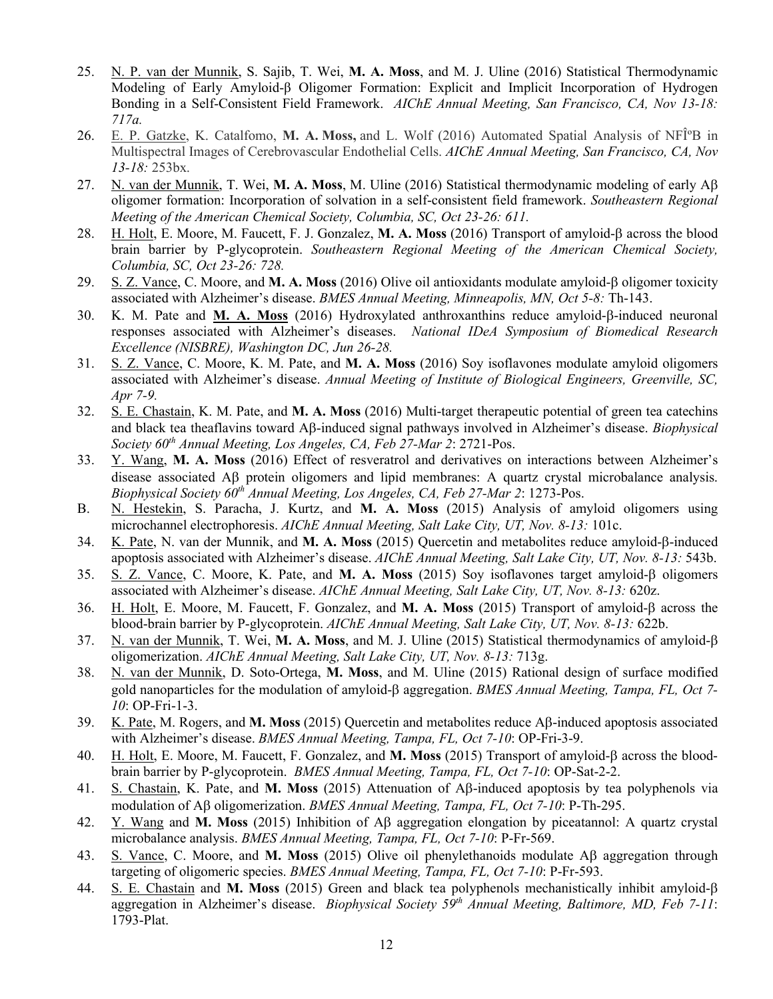- 25. N. P. van der Munnik, S. Sajib, T. Wei, **M. A. Moss**, and M. J. Uline (2016) Statistical Thermodynamic Modeling of Early Amyloid-β Oligomer Formation: Explicit and Implicit Incorporation of Hydrogen Bonding in a Self-Consistent Field Framework. *AIChE Annual Meeting, San Francisco, CA, Nov 13-18: 717a.*
- 26. E. P. Gatzke, K. Catalfomo, M. A. Moss, and L. Wolf (2016) Automated Spatial Analysis of NFI<sup>°</sup>B in Multispectral Images of Cerebrovascular Endothelial Cells. *AIChE Annual Meeting, San Francisco, CA, Nov 13-18:* 253bx.
- 27. N. van der Munnik, T. Wei, **M. A. Moss**, M. Uline (2016) Statistical thermodynamic modeling of early Aβ oligomer formation: Incorporation of solvation in a self-consistent field framework. *Southeastern Regional Meeting of the American Chemical Society, Columbia, SC, Oct 23-26: 611.*
- 28. H. Holt, E. Moore, M. Faucett, F. J. Gonzalez, **M. A. Moss** (2016) Transport of amyloid-β across the blood brain barrier by P-glycoprotein. *Southeastern Regional Meeting of the American Chemical Society, Columbia, SC, Oct 23-26: 728.*
- 29. S. Z. Vance, C. Moore, and **M. A. Moss** (2016) Olive oil antioxidants modulate amyloid-β oligomer toxicity associated with Alzheimer's disease. *BMES Annual Meeting, Minneapolis, MN, Oct 5-8:* Th-143.
- 30. K. M. Pate and **M. A. Moss** (2016) Hydroxylated anthroxanthins reduce amyloid-β-induced neuronal responses associated with Alzheimer's diseases. *National IDeA Symposium of Biomedical Research Excellence (NISBRE), Washington DC, Jun 26-28.*
- 31. S. Z. Vance, C. Moore, K. M. Pate, and **M. A. Moss** (2016) Soy isoflavones modulate amyloid oligomers associated with Alzheimer's disease. *Annual Meeting of Institute of Biological Engineers, Greenville, SC, Apr 7-9.*
- 32. S. E. Chastain, K. M. Pate, and **M. A. Moss** (2016) Multi-target therapeutic potential of green tea catechins and black tea theaflavins toward Aβ-induced signal pathways involved in Alzheimer's disease. *Biophysical Society 60th Annual Meeting, Los Angeles, CA, Feb 27-Mar 2*: 2721-Pos.
- 33. Y. Wang, **M. A. Moss** (2016) Effect of resveratrol and derivatives on interactions between Alzheimer's disease associated Aβ protein oligomers and lipid membranes: A quartz crystal microbalance analysis. *Biophysical Society 60th Annual Meeting, Los Angeles, CA, Feb 27-Mar 2*: 1273-Pos.
- B. N. Hestekin, S. Paracha, J. Kurtz, and **M. A. Moss** (2015) Analysis of amyloid oligomers using microchannel electrophoresis. *AIChE Annual Meeting, Salt Lake City, UT, Nov. 8-13:* 101c.
- 34. K. Pate, N. van der Munnik, and **M. A. Moss** (2015) Quercetin and metabolites reduce amyloid-β-induced apoptosis associated with Alzheimer's disease. *AIChE Annual Meeting, Salt Lake City, UT, Nov. 8-13:* 543b.
- 35. S. Z. Vance, C. Moore, K. Pate, and **M. A. Moss** (2015) Soy isoflavones target amyloid-β oligomers associated with Alzheimer's disease. *AIChE Annual Meeting, Salt Lake City, UT, Nov. 8-13:* 620z.
- 36. H. Holt, E. Moore, M. Faucett, F. Gonzalez, and **M. A. Moss** (2015) Transport of amyloid-β across the blood-brain barrier by P-glycoprotein. *AIChE Annual Meeting, Salt Lake City, UT, Nov. 8-13:* 622b.
- 37. N. van der Munnik, T. Wei, **M. A. Moss**, and M. J. Uline (2015) Statistical thermodynamics of amyloid-β oligomerization. *AIChE Annual Meeting, Salt Lake City, UT, Nov. 8-13:* 713g.
- 38. N. van der Munnik, D. Soto-Ortega, **M. Moss**, and M. Uline (2015) Rational design of surface modified gold nanoparticles for the modulation of amyloid-β aggregation. *BMES Annual Meeting, Tampa, FL, Oct 7- 10*: OP-Fri-1-3.
- 39. K. Pate, M. Rogers, and **M. Moss** (2015) Quercetin and metabolites reduce Aβ-induced apoptosis associated with Alzheimer's disease. *BMES Annual Meeting, Tampa, FL, Oct 7-10*: OP-Fri-3-9.
- 40. H. Holt, E. Moore, M. Faucett, F. Gonzalez, and **M. Moss** (2015) Transport of amyloid-β across the bloodbrain barrier by P-glycoprotein. *BMES Annual Meeting, Tampa, FL, Oct 7-10*: OP-Sat-2-2.
- 41. S. Chastain, K. Pate, and **M. Moss** (2015) Attenuation of Aβ-induced apoptosis by tea polyphenols via modulation of Aβ oligomerization. *BMES Annual Meeting, Tampa, FL, Oct 7-10*: P-Th-295.
- 42. Y. Wang and **M. Moss** (2015) Inhibition of Aβ aggregation elongation by piceatannol: A quartz crystal microbalance analysis. *BMES Annual Meeting, Tampa, FL, Oct 7-10*: P-Fr-569.
- 43. S. Vance, C. Moore, and **M. Moss** (2015) Olive oil phenylethanoids modulate Aβ aggregation through targeting of oligomeric species. *BMES Annual Meeting, Tampa, FL, Oct 7-10*: P-Fr-593.
- 44. S. E. Chastain and **M. Moss** (2015) Green and black tea polyphenols mechanistically inhibit amyloid-β aggregation in Alzheimer's disease. *Biophysical Society 59th Annual Meeting, Baltimore, MD, Feb 7-11*: 1793-Plat.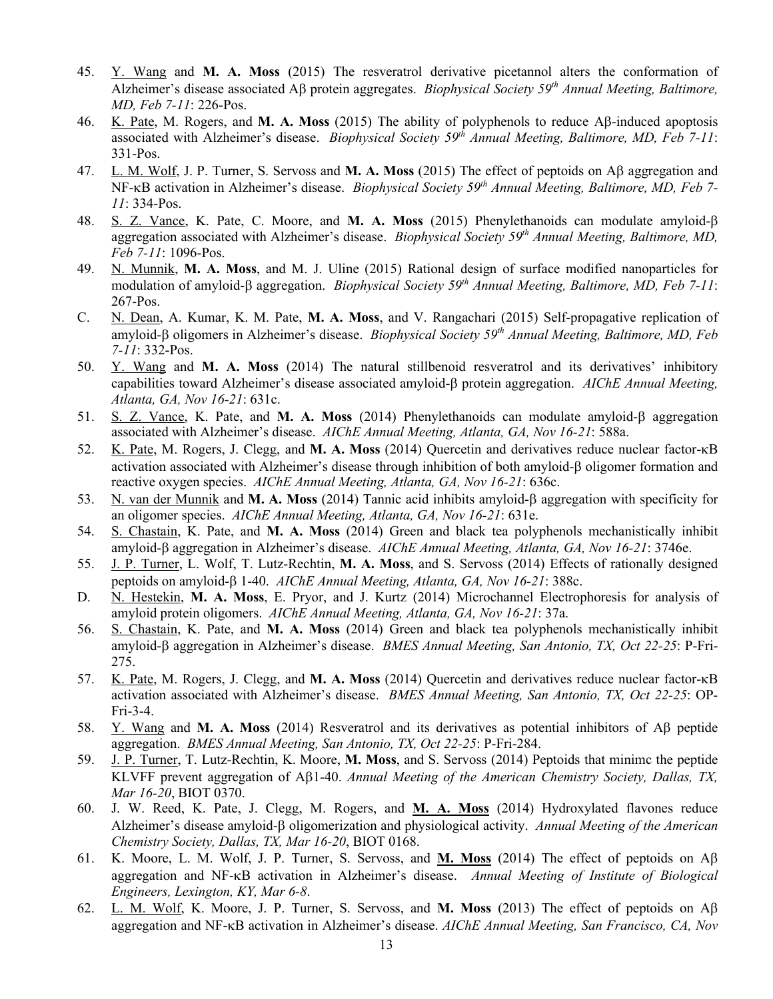- 45. Y. Wang and **M. A. Moss** (2015) The resveratrol derivative picetannol alters the conformation of Alzheimer's disease associated Aβ protein aggregates. *Biophysical Society 59th Annual Meeting, Baltimore, MD, Feb 7-11*: 226-Pos.
- 46. K. Pate, M. Rogers, and **M. A. Moss** (2015) The ability of polyphenols to reduce Aβ-induced apoptosis associated with Alzheimer's disease. *Biophysical Society 59th Annual Meeting, Baltimore, MD, Feb 7-11*: 331-Pos.
- 47. L. M. Wolf, J. P. Turner, S. Servoss and **M. A. Moss** (2015) The effect of peptoids on Aβ aggregation and NF-κB activation in Alzheimer's disease. *Biophysical Society 59th Annual Meeting, Baltimore, MD, Feb 7- 11*: 334-Pos.
- 48. S. Z. Vance, K. Pate, C. Moore, and **M. A. Moss** (2015) Phenylethanoids can modulate amyloid-β aggregation associated with Alzheimer's disease. *Biophysical Society 59th Annual Meeting, Baltimore, MD, Feb 7-11*: 1096-Pos.
- 49. N. Munnik, **M. A. Moss**, and M. J. Uline (2015) Rational design of surface modified nanoparticles for modulation of amyloid-β aggregation. *Biophysical Society 59th Annual Meeting, Baltimore, MD, Feb 7-11*: 267-Pos.
- C. N. Dean, A. Kumar, K. M. Pate, **M. A. Moss**, and V. Rangachari (2015) Self-propagative replication of amyloid-β oligomers in Alzheimer's disease. *Biophysical Society 59th Annual Meeting, Baltimore, MD, Feb 7-11*: 332-Pos.
- 50. Y. Wang and **M. A. Moss** (2014) The natural stillbenoid resveratrol and its derivatives' inhibitory capabilities toward Alzheimer's disease associated amyloid-β protein aggregation. *AIChE Annual Meeting, Atlanta, GA, Nov 16-21*: 631c.
- 51. S. Z. Vance, K. Pate, and **M. A. Moss** (2014) Phenylethanoids can modulate amyloid-β aggregation associated with Alzheimer's disease. *AIChE Annual Meeting, Atlanta, GA, Nov 16-21*: 588a.
- 52. K. Pate, M. Rogers, J. Clegg, and **M. A. Moss** (2014) Quercetin and derivatives reduce nuclear factor-κB activation associated with Alzheimer's disease through inhibition of both amyloid-β oligomer formation and reactive oxygen species. *AIChE Annual Meeting, Atlanta, GA, Nov 16-21*: 636c.
- 53. N. van der Munnik and **M. A. Moss** (2014) Tannic acid inhibits amyloid-β aggregation with specificity for an oligomer species. *AIChE Annual Meeting, Atlanta, GA, Nov 16-21*: 631e.
- 54. S. Chastain, K. Pate, and **M. A. Moss** (2014) Green and black tea polyphenols mechanistically inhibit amyloid-β aggregation in Alzheimer's disease. *AIChE Annual Meeting, Atlanta, GA, Nov 16-21*: 3746e.
- 55. J. P. Turner, L. Wolf, T. Lutz-Rechtin, **M. A. Moss**, and S. Servoss (2014) Effects of rationally designed peptoids on amyloid-β 1-40. *AIChE Annual Meeting, Atlanta, GA, Nov 16-21*: 388c.
- D. N. Hestekin, **M. A. Moss**, E. Pryor, and J. Kurtz (2014) Microchannel Electrophoresis for analysis of amyloid protein oligomers. *AIChE Annual Meeting, Atlanta, GA, Nov 16-21*: 37a.
- 56. S. Chastain, K. Pate, and **M. A. Moss** (2014) Green and black tea polyphenols mechanistically inhibit amyloid-β aggregation in Alzheimer's disease. *BMES Annual Meeting, San Antonio, TX, Oct 22-25*: P-Fri-275.
- 57. K. Pate, M. Rogers, J. Clegg, and **M. A. Moss** (2014) Quercetin and derivatives reduce nuclear factor-κB activation associated with Alzheimer's disease. *BMES Annual Meeting, San Antonio, TX, Oct 22-25*: OP-Fri-3-4.
- 58. Y. Wang and **M. A. Moss** (2014) Resveratrol and its derivatives as potential inhibitors of Aβ peptide aggregation. *BMES Annual Meeting, San Antonio, TX, Oct 22-25*: P-Fri-284.
- 59. J. P. Turner, T. Lutz-Rechtin, K. Moore, **M. Moss**, and S. Servoss (2014) Peptoids that minimc the peptide KLVFF prevent aggregation of Aβ1-40. *Annual Meeting of the American Chemistry Society, Dallas, TX, Mar 16-20*, BIOT 0370.
- 60. J. W. Reed, K. Pate, J. Clegg, M. Rogers, and **M. A. Moss** (2014) Hydroxylated flavones reduce Alzheimer's disease amyloid-β oligomerization and physiological activity. *Annual Meeting of the American Chemistry Society, Dallas, TX, Mar 16-20*, BIOT 0168.
- 61. K. Moore, L. M. Wolf, J. P. Turner, S. Servoss, and **M. Moss** (2014) The effect of peptoids on Aβ aggregation and NF-κB activation in Alzheimer's disease. *Annual Meeting of Institute of Biological Engineers, Lexington, KY, Mar 6-8*.
- 62. L. M. Wolf, K. Moore, J. P. Turner, S. Servoss, and **M. Moss** (2013) The effect of peptoids on Aβ aggregation and NF-κB activation in Alzheimer's disease. *AIChE Annual Meeting, San Francisco, CA, Nov*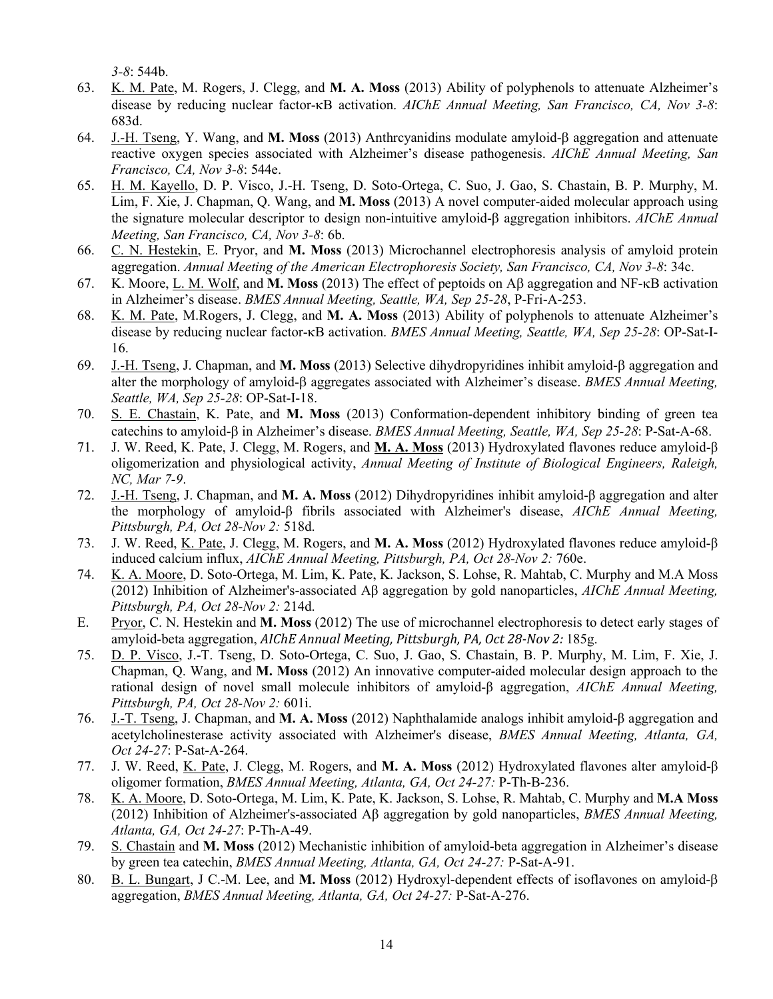*3-8*: 544b.

- 63. K. M. Pate, M. Rogers, J. Clegg, and **M. A. Moss** (2013) Ability of polyphenols to attenuate Alzheimer's disease by reducing nuclear factor-κB activation. *AIChE Annual Meeting, San Francisco, CA, Nov 3-8*: 683d.
- 64. J.-H. Tseng, Y. Wang, and **M. Moss** (2013) Anthrcyanidins modulate amyloid-β aggregation and attenuate reactive oxygen species associated with Alzheimer's disease pathogenesis. *AIChE Annual Meeting, San Francisco, CA, Nov 3-8*: 544e.
- 65. H. M. Kayello, D. P. Visco, J.-H. Tseng, D. Soto-Ortega, C. Suo, J. Gao, S. Chastain, B. P. Murphy, M. Lim, F. Xie, J. Chapman, Q. Wang, and **M. Moss** (2013) A novel computer-aided molecular approach using the signature molecular descriptor to design non-intuitive amyloid-β aggregation inhibitors. *AIChE Annual Meeting, San Francisco, CA, Nov 3-8*: 6b.
- 66. C. N. Hestekin, E. Pryor, and **M. Moss** (2013) Microchannel electrophoresis analysis of amyloid protein aggregation. *Annual Meeting of the American Electrophoresis Society, San Francisco, CA, Nov 3-8*: 34c.
- 67. K. Moore, L. M. Wolf, and **M. Moss** (2013) The effect of peptoids on Aβ aggregation and NF-κB activation in Alzheimer's disease. *BMES Annual Meeting, Seattle, WA, Sep 25-28*, P-Fri-A-253.
- 68. K. M. Pate, M.Rogers, J. Clegg, and **M. A. Moss** (2013) Ability of polyphenols to attenuate Alzheimer's disease by reducing nuclear factor-κB activation. *BMES Annual Meeting, Seattle, WA, Sep 25-28*: OP-Sat-I-16.
- 69. J.-H. Tseng, J. Chapman, and **M. Moss** (2013) Selective dihydropyridines inhibit amyloid-β aggregation and alter the morphology of amyloid-β aggregates associated with Alzheimer's disease. *BMES Annual Meeting, Seattle, WA, Sep 25-28*: OP-Sat-I-18.
- 70. S. E. Chastain, K. Pate, and **M. Moss** (2013) Conformation-dependent inhibitory binding of green tea catechins to amyloid-β in Alzheimer's disease. *BMES Annual Meeting, Seattle, WA, Sep 25-28*: P-Sat-A-68.
- 71. J. W. Reed, K. Pate, J. Clegg, M. Rogers, and **M. A. Moss** (2013) Hydroxylated flavones reduce amyloid-β oligomerization and physiological activity, *Annual Meeting of Institute of Biological Engineers, Raleigh, NC, Mar 7-9*.
- 72. J.-H. Tseng, J. Chapman, and **M. A. Moss** (2012) Dihydropyridines inhibit amyloid-β aggregation and alter the morphology of amyloid-β fibrils associated with Alzheimer's disease, *AIChE Annual Meeting, Pittsburgh, PA, Oct 28-Nov 2:* 518d.
- 73. J. W. Reed, K. Pate, J. Clegg, M. Rogers, and **M. A. Moss** (2012) Hydroxylated flavones reduce amyloid-β induced calcium influx, *AIChE Annual Meeting, Pittsburgh, PA, Oct 28-Nov 2:* 760e.
- 74. K. A. Moore, D. Soto-Ortega, M. Lim, K. Pate, K. Jackson, S. Lohse, R. Mahtab, C. Murphy and M.A Moss (2012) Inhibition of Alzheimer's-associated Aβ aggregation by gold nanoparticles, *AIChE Annual Meeting, Pittsburgh, PA, Oct 28-Nov 2:* 214d.
- E. Pryor, C. N. Hestekin and **M. Moss** (2012) The use of microchannel electrophoresis to detect early stages of amyloid-beta aggregation, *AIChE Annual Meeting, Pittsburgh, PA, Oct 28-Nov 2:* 185g.
- 75. D. P. Visco, J.-T. Tseng, D. Soto-Ortega, C. Suo, J. Gao, S. Chastain, B. P. Murphy, M. Lim, F. Xie, J. Chapman, Q. Wang, and **M. Moss** (2012) An innovative computer-aided molecular design approach to the rational design of novel small molecule inhibitors of amyloid-β aggregation, *AIChE Annual Meeting, Pittsburgh, PA, Oct 28-Nov 2:* 601i.
- 76. J.-T. Tseng, J. Chapman, and **M. A. Moss** (2012) Naphthalamide analogs inhibit amyloid-β aggregation and acetylcholinesterase activity associated with Alzheimer's disease, *BMES Annual Meeting, Atlanta, GA, Oct 24-27*: P-Sat-A-264.
- 77. J. W. Reed, K. Pate, J. Clegg, M. Rogers, and **M. A. Moss** (2012) Hydroxylated flavones alter amyloid-β oligomer formation, *BMES Annual Meeting, Atlanta, GA, Oct 24-27:* P-Th-B-236.
- 78. K. A. Moore, D. Soto-Ortega, M. Lim, K. Pate, K. Jackson, S. Lohse, R. Mahtab, C. Murphy and **M.A Moss** (2012) Inhibition of Alzheimer's-associated Aβ aggregation by gold nanoparticles, *BMES Annual Meeting, Atlanta, GA, Oct 24-27*: P-Th-A-49.
- 79. S. Chastain and **M. Moss** (2012) Mechanistic inhibition of amyloid-beta aggregation in Alzheimer's disease by green tea catechin, *BMES Annual Meeting, Atlanta, GA, Oct 24-27:* P-Sat-A-91.
- 80. B. L. Bungart, J C.-M. Lee, and **M. Moss** (2012) Hydroxyl-dependent effects of isoflavones on amyloid-β aggregation, *BMES Annual Meeting, Atlanta, GA, Oct 24-27:* P-Sat-A-276.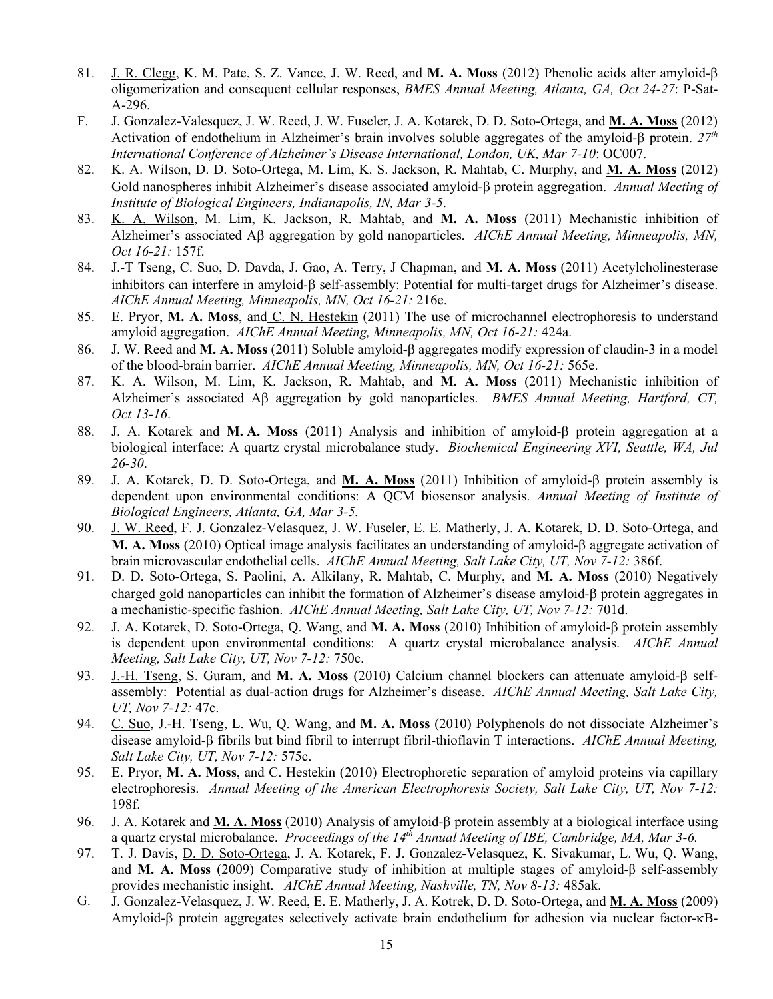- 81. J. R. Clegg, K. M. Pate, S. Z. Vance, J. W. Reed, and **M. A. Moss** (2012) Phenolic acids alter amyloid-β oligomerization and consequent cellular responses, *BMES Annual Meeting, Atlanta, GA, Oct 24-27*: P-Sat-A-296.
- F. J. Gonzalez-Valesquez, J. W. Reed, J. W. Fuseler, J. A. Kotarek, D. D. Soto-Ortega, and **M. A. Moss** (2012) Activation of endothelium in Alzheimer's brain involves soluble aggregates of the amyloid-β protein. *27th International Conference of Alzheimer's Disease International, London, UK, Mar 7-10*: OC007.
- 82. K. A. Wilson, D. D. Soto-Ortega, M. Lim, K. S. Jackson, R. Mahtab, C. Murphy, and **M. A. Moss** (2012) Gold nanospheres inhibit Alzheimer's disease associated amyloid-β protein aggregation. *Annual Meeting of Institute of Biological Engineers, Indianapolis, IN, Mar 3-5*.
- 83. K. A. Wilson, M. Lim, K. Jackson, R. Mahtab, and **M. A. Moss** (2011) Mechanistic inhibition of Alzheimer's associated Aβ aggregation by gold nanoparticles. *AIChE Annual Meeting, Minneapolis, MN, Oct 16-21:* 157f.
- 84. J.-T Tseng, C. Suo, D. Davda, J. Gao, A. Terry, J Chapman, and **M. A. Moss** (2011) Acetylcholinesterase inhibitors can interfere in amyloid-β self-assembly: Potential for multi-target drugs for Alzheimer's disease. *AIChE Annual Meeting, Minneapolis, MN, Oct 16-21:* 216e.
- 85. E. Pryor, **M. A. Moss**, and C. N. Hestekin (2011) The use of microchannel electrophoresis to understand amyloid aggregation. *AIChE Annual Meeting, Minneapolis, MN, Oct 16-21:* 424a.
- 86. J. W. Reed and **M. A. Moss** (2011) Soluble amyloid-β aggregates modify expression of claudin-3 in a model of the blood-brain barrier. *AIChE Annual Meeting, Minneapolis, MN, Oct 16-21:* 565e.
- 87. K. A. Wilson, M. Lim, K. Jackson, R. Mahtab, and **M. A. Moss** (2011) Mechanistic inhibition of Alzheimer's associated Aβ aggregation by gold nanoparticles. *BMES Annual Meeting, Hartford, CT, Oct 13-16*.
- 88. J. A. Kotarek and **M. A. Moss** (2011) Analysis and inhibition of amyloid-β protein aggregation at a biological interface: A quartz crystal microbalance study. *Biochemical Engineering XVI, Seattle, WA, Jul 26-30*.
- 89. J. A. Kotarek, D. D. Soto-Ortega, and **M. A. Moss** (2011) Inhibition of amyloid-β protein assembly is dependent upon environmental conditions: A QCM biosensor analysis. *Annual Meeting of Institute of Biological Engineers, Atlanta, GA, Mar 3-5.*
- 90. J. W. Reed, F. J. Gonzalez-Velasquez, J. W. Fuseler, E. E. Matherly, J. A. Kotarek, D. D. Soto-Ortega, and **M. A. Moss** (2010) Optical image analysis facilitates an understanding of amyloid-β aggregate activation of brain microvascular endothelial cells. *AIChE Annual Meeting, Salt Lake City, UT, Nov 7-12:* 386f.
- 91. D. D. Soto-Ortega, S. Paolini, A. Alkilany, R. Mahtab, C. Murphy, and **M. A. Moss** (2010) Negatively charged gold nanoparticles can inhibit the formation of Alzheimer's disease amyloid-β protein aggregates in a mechanistic-specific fashion. *AIChE Annual Meeting, Salt Lake City, UT, Nov 7-12:* 701d.
- 92. J. A. Kotarek, D. Soto-Ortega, Q. Wang, and **M. A. Moss** (2010) Inhibition of amyloid-β protein assembly is dependent upon environmental conditions: A quartz crystal microbalance analysis. *AIChE Annual Meeting, Salt Lake City, UT, Nov 7-12:* 750c.
- 93. J.-H. Tseng, S. Guram, and **M. A. Moss** (2010) Calcium channel blockers can attenuate amyloid-β selfassembly: Potential as dual-action drugs for Alzheimer's disease. *AIChE Annual Meeting, Salt Lake City, UT, Nov 7-12:* 47c.
- 94. C. Suo, J.-H. Tseng, L. Wu, Q. Wang, and **M. A. Moss** (2010) Polyphenols do not dissociate Alzheimer's disease amyloid-β fibrils but bind fibril to interrupt fibril-thioflavin T interactions. *AIChE Annual Meeting, Salt Lake City, UT, Nov 7-12:* 575c.
- 95. E. Pryor, **M. A. Moss**, and C. Hestekin (2010) Electrophoretic separation of amyloid proteins via capillary electrophoresis. *Annual Meeting of the American Electrophoresis Society, Salt Lake City, UT, Nov 7-12:*  198f.
- 96. J. A. Kotarek and **M. A. Moss** (2010) Analysis of amyloid-β protein assembly at a biological interface using a quartz crystal microbalance. *Proceedings of the 14th Annual Meeting of IBE, Cambridge, MA, Mar 3-6.*
- 97. T. J. Davis, D. D. Soto-Ortega, J. A. Kotarek, F. J. Gonzalez-Velasquez, K. Sivakumar, L. Wu, Q. Wang, and **M. A. Moss** (2009) Comparative study of inhibition at multiple stages of amyloid-β self-assembly provides mechanistic insight. *AIChE Annual Meeting, Nashville, TN, Nov 8-13:* 485ak.
- G. J. Gonzalez-Velasquez, J. W. Reed, E. E. Matherly, J. A. Kotrek, D. D. Soto-Ortega, and **M. A. Moss** (2009) Amyloid-β protein aggregates selectively activate brain endothelium for adhesion via nuclear factor-κB-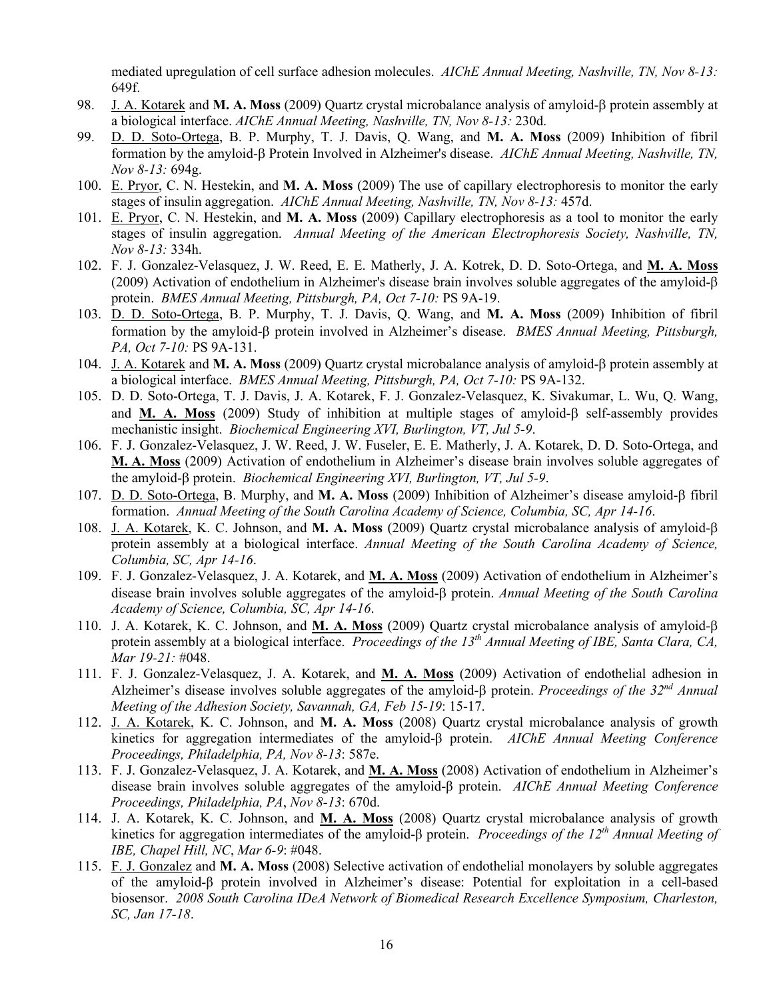mediated upregulation of cell surface adhesion molecules. *AIChE Annual Meeting, Nashville, TN, Nov 8-13:* 649f.

- 98. J. A. Kotarek and **M. A. Moss** (2009) Quartz crystal microbalance analysis of amyloid-β protein assembly at a biological interface. *AIChE Annual Meeting, Nashville, TN, Nov 8-13:* 230d.
- 99. D. D. Soto-Ortega, B. P. Murphy, T. J. Davis, Q. Wang, and **M. A. Moss** (2009) Inhibition of fibril formation by the amyloid-β Protein Involved in Alzheimer's disease. *AIChE Annual Meeting, Nashville, TN, Nov 8-13:* 694g.
- 100. E. Pryor, C. N. Hestekin, and **M. A. Moss** (2009) The use of capillary electrophoresis to monitor the early stages of insulin aggregation. *AIChE Annual Meeting, Nashville, TN, Nov 8-13:* 457d.
- 101. E. Pryor, C. N. Hestekin, and **M. A. Moss** (2009) Capillary electrophoresis as a tool to monitor the early stages of insulin aggregation. *Annual Meeting of the American Electrophoresis Society, Nashville, TN, Nov 8-13:* 334h.
- 102. F. J. Gonzalez-Velasquez, J. W. Reed, E. E. Matherly, J. A. Kotrek, D. D. Soto-Ortega, and **M. A. Moss** (2009) Activation of endothelium in Alzheimer's disease brain involves soluble aggregates of the amyloid-β protein. *BMES Annual Meeting, Pittsburgh, PA, Oct 7-10:* PS 9A-19.
- 103. D. D. Soto-Ortega, B. P. Murphy, T. J. Davis, Q. Wang, and **M. A. Moss** (2009) Inhibition of fibril formation by the amyloid-β protein involved in Alzheimer's disease. *BMES Annual Meeting, Pittsburgh, PA, Oct 7-10:* PS 9A-131.
- 104. J. A. Kotarek and **M. A. Moss** (2009) Quartz crystal microbalance analysis of amyloid-β protein assembly at a biological interface. *BMES Annual Meeting, Pittsburgh, PA, Oct 7-10:* PS 9A-132.
- 105. D. D. Soto-Ortega, T. J. Davis, J. A. Kotarek, F. J. Gonzalez-Velasquez, K. Sivakumar, L. Wu, Q. Wang, and **M. A. Moss** (2009) Study of inhibition at multiple stages of amyloid-β self-assembly provides mechanistic insight. *Biochemical Engineering XVI, Burlington, VT, Jul 5-9*.
- 106. F. J. Gonzalez-Velasquez, J. W. Reed, J. W. Fuseler, E. E. Matherly, J. A. Kotarek, D. D. Soto-Ortega, and **M. A. Moss** (2009) Activation of endothelium in Alzheimer's disease brain involves soluble aggregates of the amyloid-β protein. *Biochemical Engineering XVI, Burlington, VT, Jul 5-9*.
- 107. D. D. Soto-Ortega, B. Murphy, and **M. A. Moss** (2009) Inhibition of Alzheimer's disease amyloid-β fibril formation. *Annual Meeting of the South Carolina Academy of Science, Columbia, SC, Apr 14-16*.
- 108. J. A. Kotarek, K. C. Johnson, and **M. A. Moss** (2009) Quartz crystal microbalance analysis of amyloid-β protein assembly at a biological interface. *Annual Meeting of the South Carolina Academy of Science, Columbia, SC, Apr 14-16*.
- 109. F. J. Gonzalez-Velasquez, J. A. Kotarek, and **M. A. Moss** (2009) Activation of endothelium in Alzheimer's disease brain involves soluble aggregates of the amyloid-β protein. *Annual Meeting of the South Carolina Academy of Science, Columbia, SC, Apr 14-16*.
- 110. J. A. Kotarek, K. C. Johnson, and **M. A. Moss** (2009) Quartz crystal microbalance analysis of amyloid-β protein assembly at a biological interface. *Proceedings of the 13th Annual Meeting of IBE, Santa Clara, CA, Mar 19-21:* #048.
- 111. F. J. Gonzalez-Velasquez, J. A. Kotarek, and **M. A. Moss** (2009) Activation of endothelial adhesion in Alzheimer's disease involves soluble aggregates of the amyloid-β protein. *Proceedings of the 32nd Annual Meeting of the Adhesion Society, Savannah, GA, Feb 15-19*: 15-17.
- 112. J. A. Kotarek, K. C. Johnson, and **M. A. Moss** (2008) Quartz crystal microbalance analysis of growth kinetics for aggregation intermediates of the amyloid-β protein. *AIChE Annual Meeting Conference Proceedings, Philadelphia, PA, Nov 8-13*: 587e.
- 113. F. J. Gonzalez-Velasquez, J. A. Kotarek, and **M. A. Moss** (2008) Activation of endothelium in Alzheimer's disease brain involves soluble aggregates of the amyloid-β protein. *AIChE Annual Meeting Conference Proceedings, Philadelphia, PA*, *Nov 8-13*: 670d.
- 114. J. A. Kotarek, K. C. Johnson, and **M. A. Moss** (2008) Quartz crystal microbalance analysis of growth kinetics for aggregation intermediates of the amyloid-β protein. *Proceedings of the 12th Annual Meeting of IBE, Chapel Hill, NC*, *Mar 6-9*: #048.
- 115. F. J. Gonzalez and **M. A. Moss** (2008) Selective activation of endothelial monolayers by soluble aggregates of the amyloid-β protein involved in Alzheimer's disease: Potential for exploitation in a cell-based biosensor. *2008 South Carolina IDeA Network of Biomedical Research Excellence Symposium, Charleston, SC, Jan 17-18*.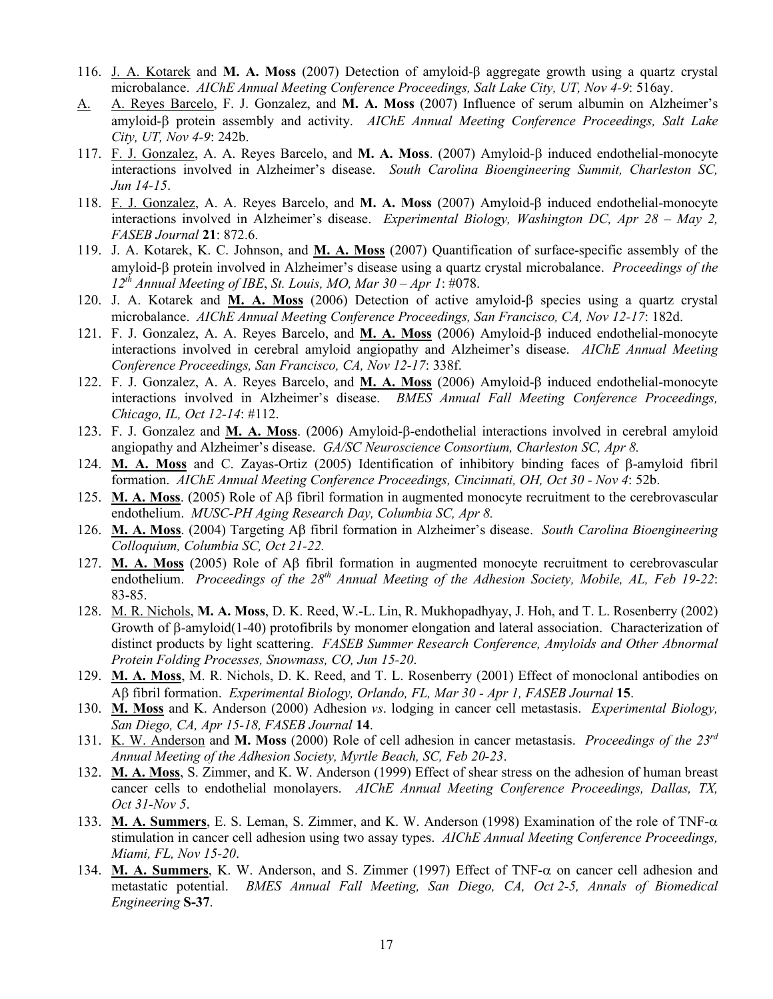- 116. J. A. Kotarek and **M. A. Moss** (2007) Detection of amyloid-β aggregate growth using a quartz crystal microbalance. *AIChE Annual Meeting Conference Proceedings, Salt Lake City, UT, Nov 4-9*: 516ay.
- A. A. Reyes Barcelo, F. J. Gonzalez, and **M. A. Moss** (2007) Influence of serum albumin on Alzheimer's amyloid-β protein assembly and activity. *AIChE Annual Meeting Conference Proceedings, Salt Lake City, UT, Nov 4-9*: 242b.
- 117. F. J. Gonzalez, A. A. Reyes Barcelo, and **M. A. Moss**. (2007) Amyloid-β induced endothelial-monocyte interactions involved in Alzheimer's disease. *South Carolina Bioengineering Summit, Charleston SC, Jun 14-15*.
- 118. F. J. Gonzalez, A. A. Reyes Barcelo, and **M. A. Moss** (2007) Amyloid-β induced endothelial-monocyte interactions involved in Alzheimer's disease. *Experimental Biology, Washington DC, Apr 28 – May 2, FASEB Journal* **21**: 872.6.
- 119. J. A. Kotarek, K. C. Johnson, and **M. A. Moss** (2007) Quantification of surface-specific assembly of the amyloid-β protein involved in Alzheimer's disease using a quartz crystal microbalance. *Proceedings of the 12th Annual Meeting of IBE*, *St. Louis, MO, Mar 30 – Apr 1*: #078.
- 120. J. A. Kotarek and **M. A. Moss** (2006) Detection of active amyloid-β species using a quartz crystal microbalance. *AIChE Annual Meeting Conference Proceedings, San Francisco, CA, Nov 12-17*: 182d.
- 121. F. J. Gonzalez, A. A. Reyes Barcelo, and **M. A. Moss** (2006) Amyloid-β induced endothelial-monocyte interactions involved in cerebral amyloid angiopathy and Alzheimer's disease. *AIChE Annual Meeting Conference Proceedings, San Francisco, CA, Nov 12-17*: 338f.
- 122. F. J. Gonzalez, A. A. Reyes Barcelo, and **M. A. Moss** (2006) Amyloid-β induced endothelial-monocyte interactions involved in Alzheimer's disease. *BMES Annual Fall Meeting Conference Proceedings, Chicago, IL, Oct 12-14*: #112.
- 123. F. J. Gonzalez and **M. A. Moss**. (2006) Amyloid-β-endothelial interactions involved in cerebral amyloid angiopathy and Alzheimer's disease. *GA/SC Neuroscience Consortium, Charleston SC, Apr 8.*
- 124. **M. A. Moss** and C. Zayas-Ortiz (2005) Identification of inhibitory binding faces of β-amyloid fibril formation. *AIChE Annual Meeting Conference Proceedings, Cincinnati, OH, Oct 30 - Nov 4*: 52b.
- 125. **M. A. Moss**. (2005) Role of Aβ fibril formation in augmented monocyte recruitment to the cerebrovascular endothelium. *MUSC-PH Aging Research Day, Columbia SC, Apr 8.*
- 126. **M. A. Moss**. (2004) Targeting Aβ fibril formation in Alzheimer's disease. *South Carolina Bioengineering Colloquium, Columbia SC, Oct 21-22.*
- 127. **M. A. Moss** (2005) Role of Aβ fibril formation in augmented monocyte recruitment to cerebrovascular endothelium. *Proceedings of the 28th Annual Meeting of the Adhesion Society, Mobile, AL, Feb 19-22*: 83-85.
- 128. M. R. Nichols, **M. A. Moss**, D. K. Reed, W.-L. Lin, R. Mukhopadhyay, J. Hoh, and T. L. Rosenberry (2002) Growth of β-amyloid(1-40) protofibrils by monomer elongation and lateral association. Characterization of distinct products by light scattering. *FASEB Summer Research Conference, Amyloids and Other Abnormal Protein Folding Processes, Snowmass, CO, Jun 15-20*.
- 129. **M. A. Moss**, M. R. Nichols, D. K. Reed, and T. L. Rosenberry (2001) Effect of monoclonal antibodies on Aβ fibril formation. *Experimental Biology, Orlando, FL, Mar 30 - Apr 1, FASEB Journal* **15**.
- 130. **M. Moss** and K. Anderson (2000) Adhesion *vs*. lodging in cancer cell metastasis. *Experimental Biology, San Diego, CA, Apr 15-18, FASEB Journal* **14**.
- 131. K. W. Anderson and **M. Moss** (2000) Role of cell adhesion in cancer metastasis. *Proceedings of the 23rd Annual Meeting of the Adhesion Society, Myrtle Beach, SC, Feb 20-23*.
- 132. **M. A. Moss**, S. Zimmer, and K. W. Anderson (1999) Effect of shear stress on the adhesion of human breast cancer cells to endothelial monolayers. *AIChE Annual Meeting Conference Proceedings, Dallas, TX, Oct 31-Nov 5*.
- 133. **M. A. Summers**, E. S. Leman, S. Zimmer, and K. W. Anderson (1998) Examination of the role of TNF-α stimulation in cancer cell adhesion using two assay types. *AIChE Annual Meeting Conference Proceedings, Miami, FL, Nov 15-20*.
- 134. **M. A. Summers**, K. W. Anderson, and S. Zimmer (1997) Effect of TNF-α on cancer cell adhesion and metastatic potential. *BMES Annual Fall Meeting, San Diego, CA, Oct 2-5, Annals of Biomedical Engineering* **S-37**.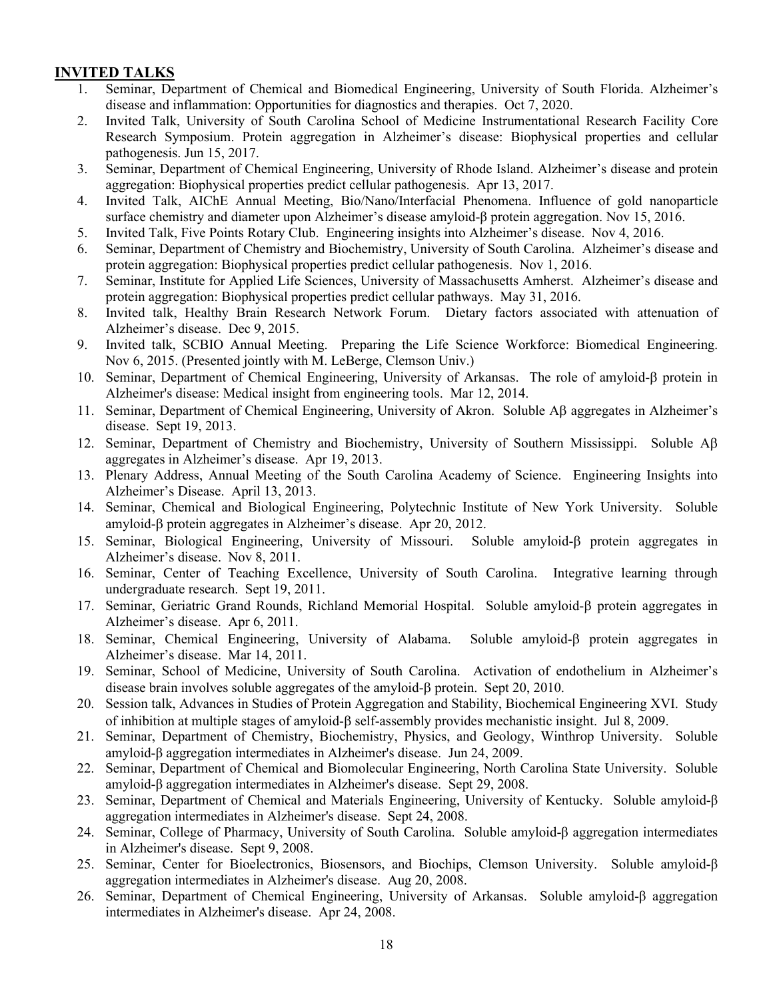## **INVITED TALKS**

- 1. Seminar, Department of Chemical and Biomedical Engineering, University of South Florida. Alzheimer's disease and inflammation: Opportunities for diagnostics and therapies. Oct 7, 2020.
- 2. Invited Talk, University of South Carolina School of Medicine Instrumentational Research Facility Core Research Symposium. Protein aggregation in Alzheimer's disease: Biophysical properties and cellular pathogenesis. Jun 15, 2017.
- 3. Seminar, Department of Chemical Engineering, University of Rhode Island. Alzheimer's disease and protein aggregation: Biophysical properties predict cellular pathogenesis. Apr 13, 2017.
- 4. Invited Talk, AIChE Annual Meeting, Bio/Nano/Interfacial Phenomena. Influence of gold nanoparticle surface chemistry and diameter upon Alzheimer's disease amyloid-β protein aggregation. Nov 15, 2016.
- 5. Invited Talk, Five Points Rotary Club. Engineering insights into Alzheimer's disease. Nov 4, 2016.
- 6. Seminar, Department of Chemistry and Biochemistry, University of South Carolina. Alzheimer's disease and protein aggregation: Biophysical properties predict cellular pathogenesis. Nov 1, 2016.
- 7. Seminar, Institute for Applied Life Sciences, University of Massachusetts Amherst. Alzheimer's disease and protein aggregation: Biophysical properties predict cellular pathways. May 31, 2016.
- 8. Invited talk, Healthy Brain Research Network Forum. Dietary factors associated with attenuation of Alzheimer's disease. Dec 9, 2015.
- 9. Invited talk, SCBIO Annual Meeting. Preparing the Life Science Workforce: Biomedical Engineering. Nov 6, 2015. (Presented jointly with M. LeBerge, Clemson Univ.)
- 10. Seminar, Department of Chemical Engineering, University of Arkansas. The role of amyloid-β protein in Alzheimer's disease: Medical insight from engineering tools. Mar 12, 2014.
- 11. Seminar, Department of Chemical Engineering, University of Akron. Soluble Aβ aggregates in Alzheimer's disease. Sept 19, 2013.
- 12. Seminar, Department of Chemistry and Biochemistry, University of Southern Mississippi. Soluble Aβ aggregates in Alzheimer's disease. Apr 19, 2013.
- 13. Plenary Address, Annual Meeting of the South Carolina Academy of Science. Engineering Insights into Alzheimer's Disease. April 13, 2013.
- 14. Seminar, Chemical and Biological Engineering, Polytechnic Institute of New York University. Soluble amyloid-β protein aggregates in Alzheimer's disease. Apr 20, 2012.
- 15. Seminar, Biological Engineering, University of Missouri. Soluble amyloid-β protein aggregates in Alzheimer's disease. Nov 8, 2011.
- 16. Seminar, Center of Teaching Excellence, University of South Carolina. Integrative learning through undergraduate research. Sept 19, 2011.
- 17. Seminar, Geriatric Grand Rounds, Richland Memorial Hospital. Soluble amyloid-β protein aggregates in Alzheimer's disease. Apr 6, 2011.
- 18. Seminar, Chemical Engineering, University of Alabama. Soluble amyloid-β protein aggregates in Alzheimer's disease. Mar 14, 2011.
- 19. Seminar, School of Medicine, University of South Carolina. Activation of endothelium in Alzheimer's disease brain involves soluble aggregates of the amyloid-β protein. Sept 20, 2010.
- 20. Session talk, Advances in Studies of Protein Aggregation and Stability, Biochemical Engineering XVI. Study of inhibition at multiple stages of amyloid-β self-assembly provides mechanistic insight. Jul 8, 2009.
- 21. Seminar, Department of Chemistry, Biochemistry, Physics, and Geology, Winthrop University. Soluble amyloid-β aggregation intermediates in Alzheimer's disease. Jun 24, 2009.
- 22. Seminar, Department of Chemical and Biomolecular Engineering, North Carolina State University. Soluble amyloid-β aggregation intermediates in Alzheimer's disease. Sept 29, 2008.
- 23. Seminar, Department of Chemical and Materials Engineering, University of Kentucky. Soluble amyloid-β aggregation intermediates in Alzheimer's disease. Sept 24, 2008.
- 24. Seminar, College of Pharmacy, University of South Carolina. Soluble amyloid-β aggregation intermediates in Alzheimer's disease. Sept 9, 2008.
- 25. Seminar, Center for Bioelectronics, Biosensors, and Biochips, Clemson University. Soluble amyloid-β aggregation intermediates in Alzheimer's disease. Aug 20, 2008.
- 26. Seminar, Department of Chemical Engineering, University of Arkansas. Soluble amyloid-β aggregation intermediates in Alzheimer's disease. Apr 24, 2008.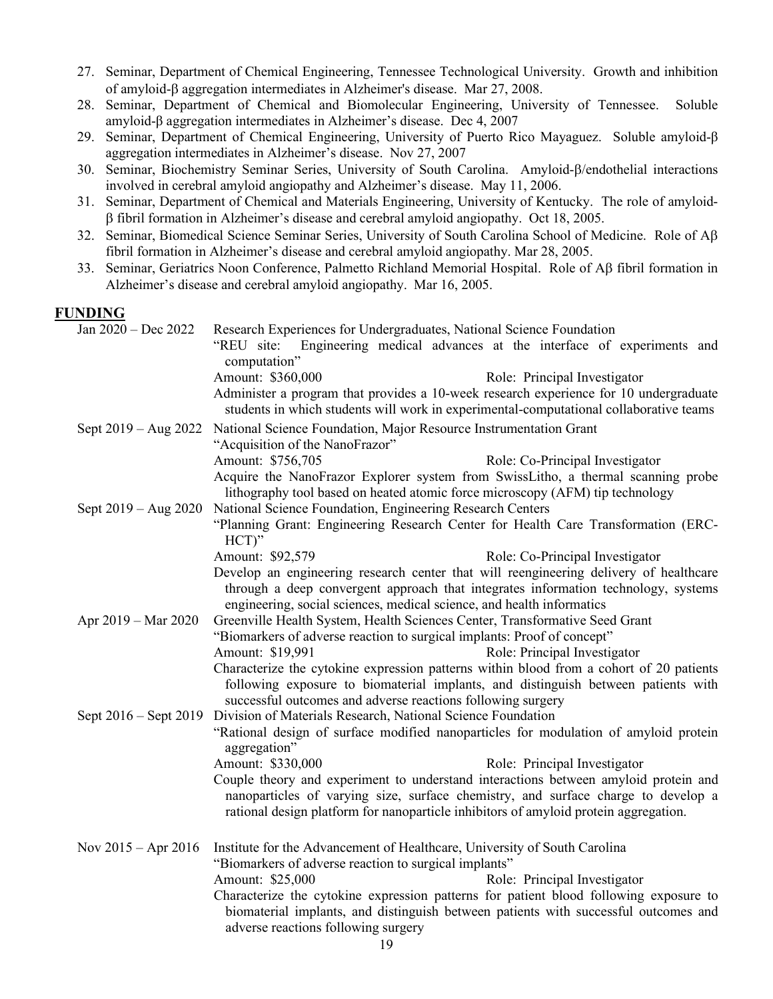- 27. Seminar, Department of Chemical Engineering, Tennessee Technological University. Growth and inhibition of amyloid-β aggregation intermediates in Alzheimer's disease. Mar 27, 2008.
- 28. Seminar, Department of Chemical and Biomolecular Engineering, University of Tennessee. Soluble amyloid-β aggregation intermediates in Alzheimer's disease. Dec 4, 2007
- 29. Seminar, Department of Chemical Engineering, University of Puerto Rico Mayaguez. Soluble amyloid-β aggregation intermediates in Alzheimer's disease. Nov 27, 2007
- 30. Seminar, Biochemistry Seminar Series, University of South Carolina. Amyloid-β/endothelial interactions involved in cerebral amyloid angiopathy and Alzheimer's disease. May 11, 2006.
- 31. Seminar, Department of Chemical and Materials Engineering, University of Kentucky. The role of amyloidβ fibril formation in Alzheimer's disease and cerebral amyloid angiopathy. Oct 18, 2005.
- 32. Seminar, Biomedical Science Seminar Series, University of South Carolina School of Medicine. Role of Aβ fibril formation in Alzheimer's disease and cerebral amyloid angiopathy. Mar 28, 2005.
- 33. Seminar, Geriatrics Noon Conference, Palmetto Richland Memorial Hospital. Role of Aβ fibril formation in Alzheimer's disease and cerebral amyloid angiopathy. Mar 16, 2005.

### **FUNDING**

| Jan 2020 - Dec 2022       | Research Experiences for Undergraduates, National Science Foundation<br>Engineering medical advances at the interface of experiments and<br>"REU site:<br>computation"                                                                      |  |  |
|---------------------------|---------------------------------------------------------------------------------------------------------------------------------------------------------------------------------------------------------------------------------------------|--|--|
|                           | Amount: \$360,000<br>Role: Principal Investigator<br>Administer a program that provides a 10-week research experience for 10 undergraduate<br>students in which students will work in experimental-computational collaborative teams        |  |  |
| Sept $2019 - Aug 2022$    | National Science Foundation, Major Resource Instrumentation Grant<br>"Acquisition of the NanoFrazor"                                                                                                                                        |  |  |
|                           | Amount: \$756,705<br>Role: Co-Principal Investigator<br>Acquire the NanoFrazor Explorer system from SwissLitho, a thermal scanning probe<br>lithography tool based on heated atomic force microscopy (AFM) tip technology                   |  |  |
| Sept $2019 - Aug 2020$    | National Science Foundation, Engineering Research Centers<br>"Planning Grant: Engineering Research Center for Health Care Transformation (ERC-<br>$HCT$ <sup>"</sup>                                                                        |  |  |
|                           | Amount: \$92,579<br>Role: Co-Principal Investigator                                                                                                                                                                                         |  |  |
|                           | Develop an engineering research center that will reengineering delivery of healthcare                                                                                                                                                       |  |  |
|                           | through a deep convergent approach that integrates information technology, systems<br>engineering, social sciences, medical science, and health informatics                                                                                 |  |  |
| Apr 2019 – Mar 2020       | Greenville Health System, Health Sciences Center, Transformative Seed Grant                                                                                                                                                                 |  |  |
|                           | "Biomarkers of adverse reaction to surgical implants: Proof of concept"                                                                                                                                                                     |  |  |
|                           | Amount: \$19,991<br>Role: Principal Investigator                                                                                                                                                                                            |  |  |
|                           | Characterize the cytokine expression patterns within blood from a cohort of 20 patients<br>following exposure to biomaterial implants, and distinguish between patients with<br>successful outcomes and adverse reactions following surgery |  |  |
| Sept $2016 -$ Sept $2019$ | Division of Materials Research, National Science Foundation                                                                                                                                                                                 |  |  |
|                           | "Rational design of surface modified nanoparticles for modulation of amyloid protein<br>aggregation"                                                                                                                                        |  |  |
|                           | Amount: \$330,000<br>Role: Principal Investigator                                                                                                                                                                                           |  |  |
|                           | Couple theory and experiment to understand interactions between amyloid protein and                                                                                                                                                         |  |  |
|                           | nanoparticles of varying size, surface chemistry, and surface charge to develop a<br>rational design platform for nanoparticle inhibitors of amyloid protein aggregation.                                                                   |  |  |
| Nov $2015 -$ Apr $2016$   | Institute for the Advancement of Healthcare, University of South Carolina<br>"Biomarkers of adverse reaction to surgical implants"                                                                                                          |  |  |
|                           | Amount: \$25,000<br>Role: Principal Investigator                                                                                                                                                                                            |  |  |
|                           | Characterize the cytokine expression patterns for patient blood following exposure to<br>biomaterial implants, and distinguish between patients with successful outcomes and<br>adverse reactions following surgery                         |  |  |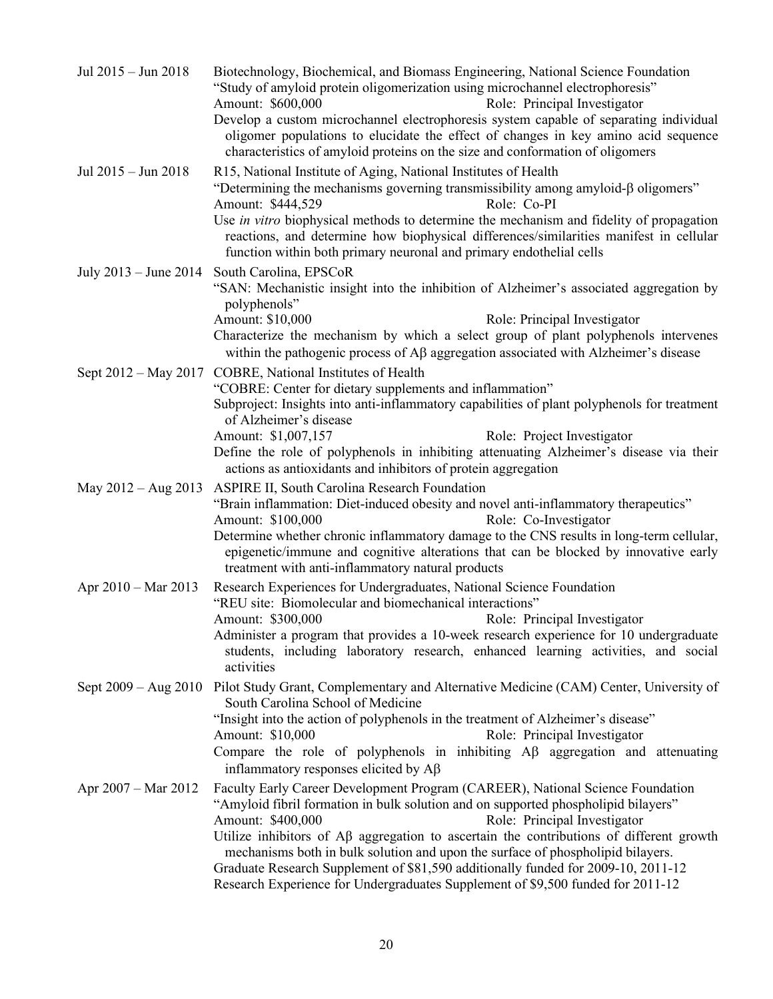| Jul 2015 - Jun 2018           | Biotechnology, Biochemical, and Biomass Engineering, National Science Foundation<br>"Study of amyloid protein oligomerization using microchannel electrophoresis"<br>Amount: \$600,000<br>Role: Principal Investigator<br>Develop a custom microchannel electrophoresis system capable of separating individual<br>oligomer populations to elucidate the effect of changes in key amino acid sequence<br>characteristics of amyloid proteins on the size and conformation of oligomers |  |  |
|-------------------------------|----------------------------------------------------------------------------------------------------------------------------------------------------------------------------------------------------------------------------------------------------------------------------------------------------------------------------------------------------------------------------------------------------------------------------------------------------------------------------------------|--|--|
| Jul 2015 - Jun 2018           | R15, National Institute of Aging, National Institutes of Health<br>"Determining the mechanisms governing transmissibility among amyloid- $\beta$ oligomers"<br>Amount: \$444,529<br>Role: Co-PI                                                                                                                                                                                                                                                                                        |  |  |
|                               | Use in vitro biophysical methods to determine the mechanism and fidelity of propagation<br>reactions, and determine how biophysical differences/similarities manifest in cellular<br>function within both primary neuronal and primary endothelial cells                                                                                                                                                                                                                               |  |  |
| July $2013 -$ June $2014$     | South Carolina, EPSCoR<br>"SAN: Mechanistic insight into the inhibition of Alzheimer's associated aggregation by<br>polyphenols"                                                                                                                                                                                                                                                                                                                                                       |  |  |
|                               | Amount: \$10,000<br>Role: Principal Investigator<br>Characterize the mechanism by which a select group of plant polyphenols intervenes<br>within the pathogenic process of $A\beta$ aggregation associated with Alzheimer's disease                                                                                                                                                                                                                                                    |  |  |
|                               | Sept 2012 - May 2017 COBRE, National Institutes of Health                                                                                                                                                                                                                                                                                                                                                                                                                              |  |  |
|                               | "COBRE: Center for dietary supplements and inflammation"                                                                                                                                                                                                                                                                                                                                                                                                                               |  |  |
|                               | Subproject: Insights into anti-inflammatory capabilities of plant polyphenols for treatment<br>of Alzheimer's disease                                                                                                                                                                                                                                                                                                                                                                  |  |  |
|                               | Amount: \$1,007,157<br>Role: Project Investigator                                                                                                                                                                                                                                                                                                                                                                                                                                      |  |  |
|                               | Define the role of polyphenols in inhibiting attenuating Alzheimer's disease via their<br>actions as antioxidants and inhibitors of protein aggregation                                                                                                                                                                                                                                                                                                                                |  |  |
| May $2012 - Aug 2013$         | <b>ASPIRE II, South Carolina Research Foundation</b>                                                                                                                                                                                                                                                                                                                                                                                                                                   |  |  |
|                               | "Brain inflammation: Diet-induced obesity and novel anti-inflammatory therapeutics"                                                                                                                                                                                                                                                                                                                                                                                                    |  |  |
|                               | Amount: \$100,000<br>Role: Co-Investigator<br>Determine whether chronic inflammatory damage to the CNS results in long-term cellular,                                                                                                                                                                                                                                                                                                                                                  |  |  |
|                               | epigenetic/immune and cognitive alterations that can be blocked by innovative early<br>treatment with anti-inflammatory natural products                                                                                                                                                                                                                                                                                                                                               |  |  |
| Apr 2010 – Mar 2013           | Research Experiences for Undergraduates, National Science Foundation                                                                                                                                                                                                                                                                                                                                                                                                                   |  |  |
|                               | "REU site: Biomolecular and biomechanical interactions"                                                                                                                                                                                                                                                                                                                                                                                                                                |  |  |
|                               | Amount: \$300,000<br>Role: Principal Investigator<br>Administer a program that provides a 10-week research experience for 10 undergraduate                                                                                                                                                                                                                                                                                                                                             |  |  |
|                               | students, including laboratory research, enhanced learning activities, and social<br>activities                                                                                                                                                                                                                                                                                                                                                                                        |  |  |
| Sept $2009 - Aug 2010$        | Pilot Study Grant, Complementary and Alternative Medicine (CAM) Center, University of<br>South Carolina School of Medicine                                                                                                                                                                                                                                                                                                                                                             |  |  |
|                               | "Insight into the action of polyphenols in the treatment of Alzheimer's disease"                                                                                                                                                                                                                                                                                                                                                                                                       |  |  |
|                               | Role: Principal Investigator<br>Amount: \$10,000                                                                                                                                                                                                                                                                                                                                                                                                                                       |  |  |
|                               | Compare the role of polyphenols in inhibiting $\overrightarrow{AB}$ aggregation and attenuating<br>inflammatory responses elicited by Aß                                                                                                                                                                                                                                                                                                                                               |  |  |
| Apr $2007 - \text{Mar } 2012$ | Faculty Early Career Development Program (CAREER), National Science Foundation                                                                                                                                                                                                                                                                                                                                                                                                         |  |  |
|                               | "Amyloid fibril formation in bulk solution and on supported phospholipid bilayers"                                                                                                                                                                                                                                                                                                                                                                                                     |  |  |
|                               | Amount: \$400,000<br>Role: Principal Investigator<br>Utilize inhibitors of $\mathsf{A}\beta$ aggregation to ascertain the contributions of different growth                                                                                                                                                                                                                                                                                                                            |  |  |
|                               | mechanisms both in bulk solution and upon the surface of phospholipid bilayers.                                                                                                                                                                                                                                                                                                                                                                                                        |  |  |
|                               | Graduate Research Supplement of \$81,590 additionally funded for 2009-10, 2011-12                                                                                                                                                                                                                                                                                                                                                                                                      |  |  |
|                               | Research Experience for Undergraduates Supplement of \$9,500 funded for 2011-12                                                                                                                                                                                                                                                                                                                                                                                                        |  |  |